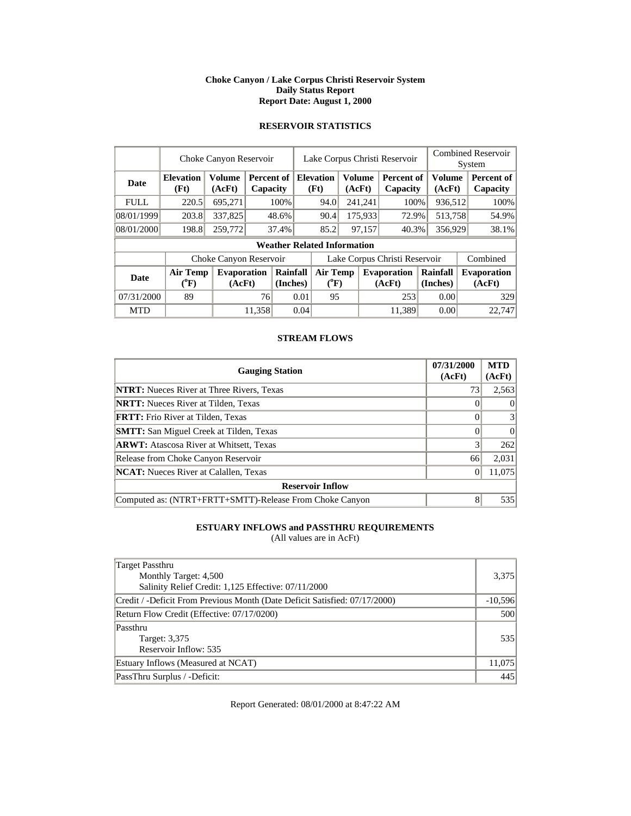### **Choke Canyon / Lake Corpus Christi Reservoir System Daily Status Report Report Date: August 1, 2000**

### **RESERVOIR STATISTICS**

|             | Choke Canyon Reservoir                | Lake Corpus Christi Reservoir |                        |                      |                               |                                    |    | <b>Combined Reservoir</b><br>System |                               |  |                         |          |                              |
|-------------|---------------------------------------|-------------------------------|------------------------|----------------------|-------------------------------|------------------------------------|----|-------------------------------------|-------------------------------|--|-------------------------|----------|------------------------------|
| <b>Date</b> | <b>Elevation</b><br>(Ft)              | <b>Volume</b><br>(AcFt)       | Percent of<br>Capacity |                      |                               | <b>Elevation</b><br>(Ft)           |    | Volume<br>(AcFt)                    | <b>Percent of</b><br>Capacity |  | <b>Volume</b><br>(AcFt) |          | Percent of<br>Capacity       |
| <b>FULL</b> | 220.5                                 | 695,271                       |                        | 100%                 |                               | 94.0                               |    | 241,241                             | 100%                          |  | 936,512                 |          | 100%                         |
| 08/01/1999  | 203.8                                 | 337,825                       |                        | 48.6%                |                               | 90.4                               |    | 175,933                             | 72.9%                         |  | 513,758                 |          | 54.9%                        |
| 08/01/2000  | 198.8                                 | 259,772                       |                        | 37.4%                |                               | 85.2                               |    | 97,157                              | 40.3%                         |  | 356,929                 |          | 38.1%                        |
|             |                                       |                               |                        |                      |                               | <b>Weather Related Information</b> |    |                                     |                               |  |                         |          |                              |
|             |                                       | Choke Canyon Reservoir        |                        |                      | Lake Corpus Christi Reservoir |                                    |    |                                     |                               |  |                         | Combined |                              |
| Date        | <b>Air Temp</b><br>$(^{0}\mathrm{F})$ | Evaporation<br>(AcFt)         |                        | Rainfall<br>(Inches) |                               | Air Temp<br>$(^{0}F)$              |    |                                     | <b>Evaporation</b><br>(AcFt)  |  | Rainfall<br>(Inches)    |          | <b>Evaporation</b><br>(AcFt) |
| 07/31/2000  | 89                                    |                               |                        | 76<br>0.01           |                               |                                    | 95 |                                     | 253                           |  | 0.00                    |          | 329                          |
| <b>MTD</b>  |                                       |                               | 11,358                 |                      | 0.04                          |                                    |    |                                     | 11.389                        |  | 0.00                    |          | 22.747                       |

### **STREAM FLOWS**

| <b>Gauging Station</b>                                  | 07/31/2000<br>(AcFt) | <b>MTD</b><br>(AcFt) |
|---------------------------------------------------------|----------------------|----------------------|
| <b>NTRT:</b> Nueces River at Three Rivers, Texas        | 73                   | 2,563                |
| <b>NRTT:</b> Nueces River at Tilden, Texas              |                      | $\theta$             |
| <b>FRTT:</b> Frio River at Tilden, Texas                |                      | 3                    |
| <b>SMTT:</b> San Miguel Creek at Tilden, Texas          |                      | $\Omega$             |
| <b>ARWT:</b> Atascosa River at Whitsett, Texas          | 3                    | 262                  |
| Release from Choke Canyon Reservoir                     | 66                   | 2,031                |
| <b>NCAT:</b> Nueces River at Calallen, Texas            |                      | 11,075               |
| <b>Reservoir Inflow</b>                                 |                      |                      |
| Computed as: (NTRT+FRTT+SMTT)-Release From Choke Canyon | 8                    | 535                  |

## **ESTUARY INFLOWS and PASSTHRU REQUIREMENTS**

(All values are in AcFt)

| Target Passthru                                                            |           |
|----------------------------------------------------------------------------|-----------|
| Monthly Target: 4,500                                                      | 3,375     |
| Salinity Relief Credit: 1,125 Effective: 07/11/2000                        |           |
| Credit / -Deficit From Previous Month (Date Deficit Satisfied: 07/17/2000) | $-10,596$ |
| Return Flow Credit (Effective: 07/17/0200)                                 | 500       |
| Passthru                                                                   |           |
| Target: 3,375                                                              | 535       |
| Reservoir Inflow: 535                                                      |           |
| Estuary Inflows (Measured at NCAT)                                         | 11,075    |
| PassThru Surplus / -Deficit:                                               | 445       |

Report Generated: 08/01/2000 at 8:47:22 AM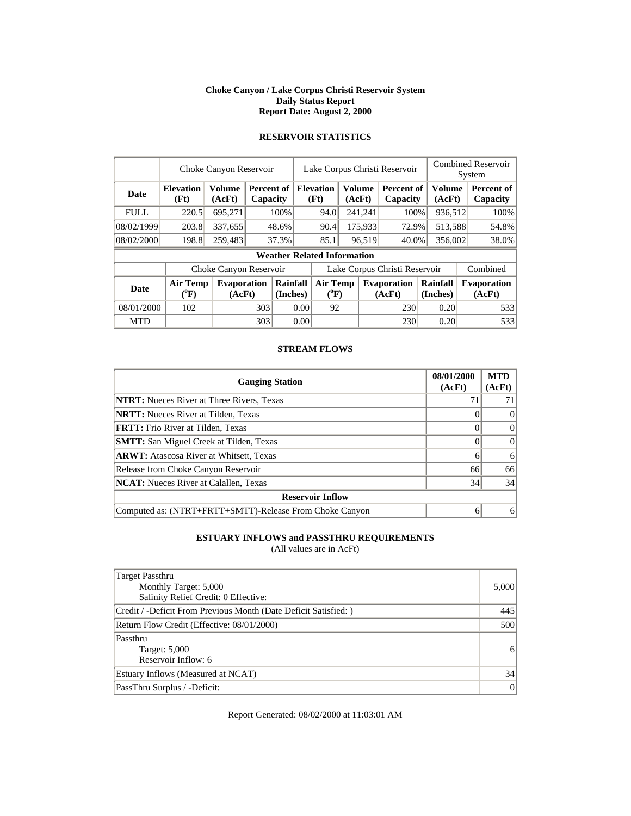#### **Choke Canyon / Lake Corpus Christi Reservoir System Daily Status Report Report Date: August 2, 2000**

## **RESERVOIR STATISTICS**

|             | Choke Canyon Reservoir         | Lake Corpus Christi Reservoir |                      |                        |                               |                                                     |    | <b>Combined Reservoir</b><br>System |                              |  |                         |          |                              |
|-------------|--------------------------------|-------------------------------|----------------------|------------------------|-------------------------------|-----------------------------------------------------|----|-------------------------------------|------------------------------|--|-------------------------|----------|------------------------------|
| <b>Date</b> | <b>Elevation</b><br>(Ft)       | <b>Volume</b><br>(AcFt)       |                      | Percent of<br>Capacity |                               | <b>Volume</b><br><b>Elevation</b><br>(Ft)<br>(AcFt) |    |                                     | Percent of<br>Capacity       |  | <b>Volume</b><br>(AcFt) |          | Percent of<br>Capacity       |
| <b>FULL</b> | 220.5                          | 695,271                       |                      | 100%                   |                               | 94.0                                                |    | 241,241                             | 100%                         |  | 936,512                 |          | 100%                         |
| 08/02/1999  | 203.8                          | 337,655                       |                      | 48.6%                  |                               | 90.4                                                |    | 175,933                             | 72.9%                        |  | 513,588                 |          | 54.8%                        |
| 08/02/2000  | 198.8                          | 259,483                       |                      | 37.3%                  |                               | 85.1                                                |    | 96,519                              | 40.0%                        |  | 356,002                 |          | 38.0%                        |
|             |                                |                               |                      |                        |                               | <b>Weather Related Information</b>                  |    |                                     |                              |  |                         |          |                              |
|             |                                | Choke Canyon Reservoir        |                      |                        | Lake Corpus Christi Reservoir |                                                     |    |                                     |                              |  |                         | Combined |                              |
| <b>Date</b> | Air Temp<br>$({}^0\mathrm{F})$ | Evaporation<br>(AcFt)         | Rainfall<br>(Inches) |                        | Air Temp<br>$(^{0}F)$         |                                                     |    |                                     | <b>Evaporation</b><br>(AcFt) |  | Rainfall<br>(Inches)    |          | <b>Evaporation</b><br>(AcFt) |
| 08/01/2000  | 102                            |                               |                      | 0.00<br>303            |                               |                                                     | 92 |                                     | 230                          |  | 0.20                    |          | 533                          |
| <b>MTD</b>  |                                |                               |                      | 303<br>0.00            |                               |                                                     |    |                                     | 230                          |  | 0.20                    |          | 533                          |

### **STREAM FLOWS**

| <b>Gauging Station</b>                                  | 08/01/2000<br>(AcFt) | <b>MTD</b><br>(AcFt) |
|---------------------------------------------------------|----------------------|----------------------|
| <b>NTRT:</b> Nueces River at Three Rivers, Texas        |                      |                      |
| <b>NRTT:</b> Nueces River at Tilden, Texas              |                      | $\Omega$             |
| <b>FRTT:</b> Frio River at Tilden, Texas                |                      | $\Omega$             |
| <b>SMTT:</b> San Miguel Creek at Tilden, Texas          |                      | $\Omega$             |
| <b>ARWT:</b> Atascosa River at Whitsett, Texas          | 6                    | 6                    |
| Release from Choke Canyon Reservoir                     | 66                   | 66                   |
| NCAT: Nueces River at Calallen, Texas                   | 34                   | 34                   |
| <b>Reservoir Inflow</b>                                 |                      |                      |
| Computed as: (NTRT+FRTT+SMTT)-Release From Choke Canyon | <sub>0</sub>         | 6                    |

### **ESTUARY INFLOWS and PASSTHRU REQUIREMENTS**

(All values are in AcFt)

| Target Passthru<br>Monthly Target: 5,000<br>Salinity Relief Credit: 0 Effective: | 5,000          |
|----------------------------------------------------------------------------------|----------------|
| Credit / -Deficit From Previous Month (Date Deficit Satisfied:)                  | 445            |
| Return Flow Credit (Effective: 08/01/2000)                                       | 500            |
| Passthru<br>Target: 5,000<br>Reservoir Inflow: 6                                 | 6 <sup>1</sup> |
| Estuary Inflows (Measured at NCAT)                                               | 34             |
| PassThru Surplus / -Deficit:                                                     | 0              |

Report Generated: 08/02/2000 at 11:03:01 AM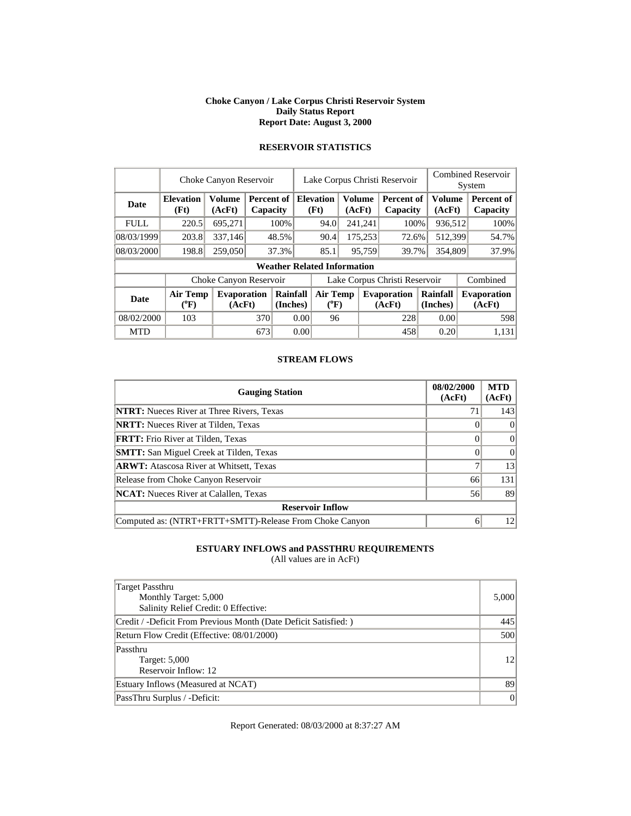#### **Choke Canyon / Lake Corpus Christi Reservoir System Daily Status Report Report Date: August 3, 2000**

## **RESERVOIR STATISTICS**

|             | Choke Canyon Reservoir                |                              | Lake Corpus Christi Reservoir |                      |                               |                                    | <b>Combined Reservoir</b><br>System |         |                              |                         |          |                              |
|-------------|---------------------------------------|------------------------------|-------------------------------|----------------------|-------------------------------|------------------------------------|-------------------------------------|---------|------------------------------|-------------------------|----------|------------------------------|
| Date        | <b>Elevation</b><br>(Ft)              | <b>Volume</b><br>(AcFt)      | Percent of<br>Capacity        |                      |                               | <b>Elevation</b><br>(Ft)           | <b>Volume</b>                       | (AcFt)  | Percent of<br>Capacity       | <b>Volume</b><br>(AcFt) |          | Percent of<br>Capacity       |
| <b>FULL</b> | 220.5                                 | 695,271                      |                               | 100%                 |                               | 94.0                               |                                     | 241,241 | 100%                         | 936,512                 |          | 100%                         |
| 08/03/1999  | 203.8                                 | 337.146                      |                               | 48.5%                |                               | 90.4                               |                                     | 175,253 | 72.6%                        | 512,399                 |          | 54.7%                        |
| 08/03/2000  | 198.8                                 | 259,050                      |                               | 37.3%                |                               | 85.1                               | 95,759                              |         | 39.7%                        | 354,809                 |          | 37.9%                        |
|             |                                       |                              |                               |                      |                               | <b>Weather Related Information</b> |                                     |         |                              |                         |          |                              |
|             |                                       | Choke Canyon Reservoir       |                               |                      | Lake Corpus Christi Reservoir |                                    |                                     |         |                              |                         | Combined |                              |
| <b>Date</b> | <b>Air Temp</b><br>$({}^0\mathrm{F})$ | <b>Evaporation</b><br>(AcFt) |                               | Rainfall<br>(Inches) |                               | <b>Air Temp</b><br>$(^{0}F)$       |                                     |         | <b>Evaporation</b><br>(AcFt) | Rainfall<br>(Inches)    |          | <b>Evaporation</b><br>(AcFt) |
| 08/02/2000  | 103                                   |                              |                               | 370<br>0.00          |                               |                                    | 96                                  |         | 228                          |                         | 0.00     | 598                          |
| <b>MTD</b>  |                                       |                              | 673                           |                      | 0.00                          |                                    |                                     |         | 458                          | 0.20                    |          | 1,131                        |

### **STREAM FLOWS**

| <b>Gauging Station</b>                                  | 08/02/2000<br>(AcFt) | <b>MTD</b><br>(AcFt) |
|---------------------------------------------------------|----------------------|----------------------|
| <b>NTRT:</b> Nueces River at Three Rivers, Texas        | 71                   | 143                  |
| <b>NRTT:</b> Nueces River at Tilden, Texas              |                      | $\Omega$             |
| <b>FRTT:</b> Frio River at Tilden, Texas                |                      | $\Omega$             |
| <b>SMTT:</b> San Miguel Creek at Tilden, Texas          |                      | $\Omega$             |
| <b>ARWT:</b> Atascosa River at Whitsett, Texas          |                      | 13                   |
| Release from Choke Canyon Reservoir                     | 66                   | 131                  |
| <b>NCAT:</b> Nueces River at Calallen, Texas            | 56                   | 89                   |
| <b>Reservoir Inflow</b>                                 |                      |                      |
| Computed as: (NTRT+FRTT+SMTT)-Release From Choke Canyon | 6                    | 12                   |

### **ESTUARY INFLOWS and PASSTHRU REQUIREMENTS**

(All values are in AcFt)

| Target Passthru<br>Monthly Target: 5,000<br>Salinity Relief Credit: 0 Effective: | 5,000 |  |  |  |
|----------------------------------------------------------------------------------|-------|--|--|--|
| Credit / -Deficit From Previous Month (Date Deficit Satisfied:)                  | 445   |  |  |  |
| Return Flow Credit (Effective: 08/01/2000)                                       |       |  |  |  |
| Passthru<br>Target: 5,000<br>Reservoir Inflow: 12                                | 12    |  |  |  |
| Estuary Inflows (Measured at NCAT)                                               | 89    |  |  |  |
| PassThru Surplus / -Deficit:                                                     | 0     |  |  |  |

Report Generated: 08/03/2000 at 8:37:27 AM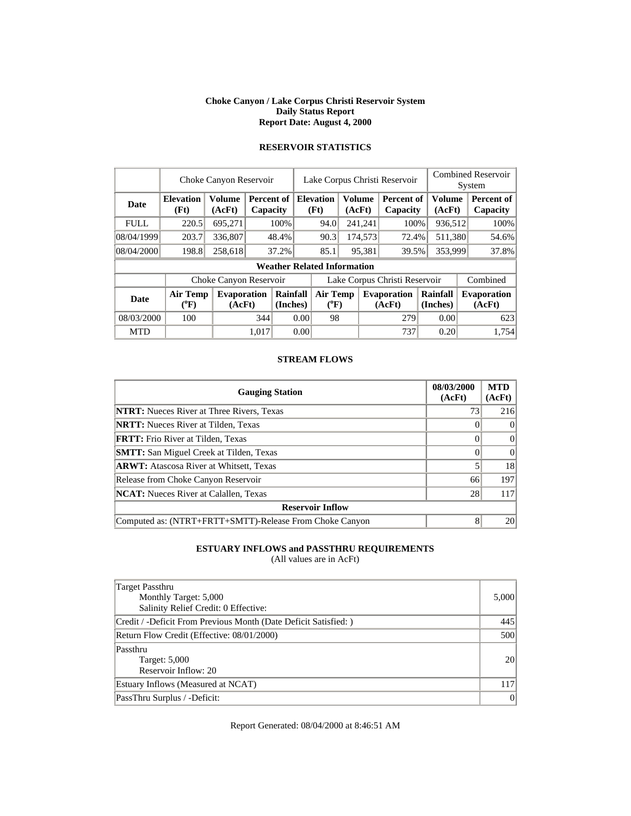#### **Choke Canyon / Lake Corpus Christi Reservoir System Daily Status Report Report Date: August 4, 2000**

| <b>RESERVOIR STATISTICS</b> |  |  |
|-----------------------------|--|--|
|                             |  |  |

|             |                                       | Choke Canyon Reservoir       |                               |                      |                               |                                    |               |         | Lake Corpus Christi Reservoir |  |                      |  | <b>Combined Reservoir</b><br>System |
|-------------|---------------------------------------|------------------------------|-------------------------------|----------------------|-------------------------------|------------------------------------|---------------|---------|-------------------------------|--|----------------------|--|-------------------------------------|
| <b>Date</b> | <b>Elevation</b><br>(Ft)              | <b>Volume</b><br>(AcFt)      | <b>Percent of</b><br>Capacity |                      |                               | <b>Elevation</b><br>(Ft)           | <b>Volume</b> | (AcFt)  | Percent of<br>Capacity        |  | Volume<br>(AcFt)     |  | Percent of<br>Capacity              |
| <b>FULL</b> | 220.5                                 | 695,271                      |                               | 100%                 |                               | 94.0                               |               | 241,241 | 100%                          |  | 936,512              |  | 100%                                |
| 08/04/1999  | 203.7                                 | 336,807                      |                               | 48.4%                |                               | 90.3                               |               | 174,573 | 72.4%                         |  | 511,380              |  | 54.6%                               |
| 08/04/2000  | 198.8                                 | 258,618                      |                               | 37.2%                |                               | 85.1                               | 95,381        |         | 39.5%                         |  | 353,999              |  | 37.8%                               |
|             |                                       |                              |                               |                      |                               | <b>Weather Related Information</b> |               |         |                               |  |                      |  |                                     |
|             |                                       | Choke Canyon Reservoir       |                               |                      | Lake Corpus Christi Reservoir |                                    |               |         |                               |  | Combined             |  |                                     |
| <b>Date</b> | <b>Air Temp</b><br>$({}^0\mathrm{F})$ | <b>Evaporation</b><br>(AcFt) |                               | Rainfall<br>(Inches) |                               | <b>Air Temp</b><br>$(^{0}F)$       |               |         | <b>Evaporation</b><br>(AcFt)  |  | Rainfall<br>(Inches) |  | <b>Evaporation</b><br>(AcFt)        |
| 08/03/2000  | 100                                   |                              | 344                           | 0.00                 |                               |                                    | 98            |         | 279                           |  | 0.00                 |  | 623                                 |
| <b>MTD</b>  |                                       |                              | 1.017                         |                      | 0.00                          |                                    |               |         | 737                           |  | 0.20                 |  | 1.754                               |

### **STREAM FLOWS**

| <b>Gauging Station</b>                                  | 08/03/2000<br>(AcFt) | <b>MTD</b><br>(AcFt) |
|---------------------------------------------------------|----------------------|----------------------|
| <b>NTRT:</b> Nueces River at Three Rivers, Texas        | 73                   | 216                  |
| <b>NRTT:</b> Nueces River at Tilden, Texas              |                      | $\Omega$             |
| <b>FRTT:</b> Frio River at Tilden, Texas                |                      | $\Omega$             |
| <b>SMTT:</b> San Miguel Creek at Tilden, Texas          |                      | $\Omega$             |
| <b>ARWT:</b> Atascosa River at Whitsett, Texas          |                      | 18                   |
| Release from Choke Canyon Reservoir                     | 66                   | 197                  |
| <b>NCAT:</b> Nueces River at Calallen, Texas            | 28                   | 117                  |
| <b>Reservoir Inflow</b>                                 |                      |                      |
| Computed as: (NTRT+FRTT+SMTT)-Release From Choke Canyon | 8                    | 20                   |

### **ESTUARY INFLOWS and PASSTHRU REQUIREMENTS**

(All values are in AcFt)

| Target Passthru<br>Monthly Target: 5,000<br>Salinity Relief Credit: 0 Effective: | 5,000     |
|----------------------------------------------------------------------------------|-----------|
| Credit / -Deficit From Previous Month (Date Deficit Satisfied: )                 | 445       |
| Return Flow Credit (Effective: 08/01/2000)                                       | 500       |
| Passthru<br>Target: 5,000<br>Reservoir Inflow: 20                                | <b>20</b> |
| Estuary Inflows (Measured at NCAT)                                               | 117       |
| PassThru Surplus / -Deficit:                                                     | 0         |

Report Generated: 08/04/2000 at 8:46:51 AM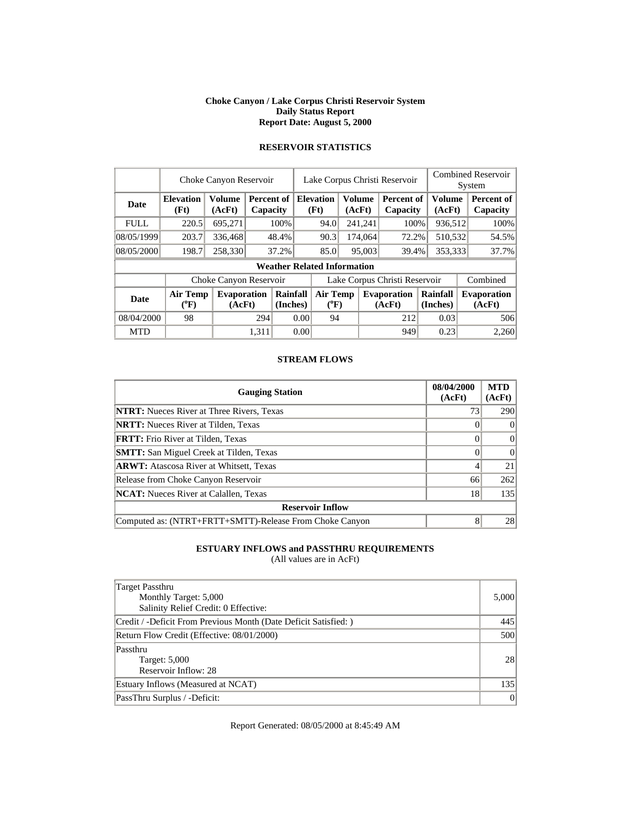#### **Choke Canyon / Lake Corpus Christi Reservoir System Daily Status Report Report Date: August 5, 2000**

|             | Choke Canyon Reservoir   |                              | Lake Corpus Christi Reservoir |                      |      |                                    |        |         | <b>Combined Reservoir</b><br>System |  |                         |  |                              |
|-------------|--------------------------|------------------------------|-------------------------------|----------------------|------|------------------------------------|--------|---------|-------------------------------------|--|-------------------------|--|------------------------------|
| <b>Date</b> | <b>Elevation</b><br>(Ft) | <b>Volume</b><br>(AcFt)      | Percent of<br>Capacity        |                      |      | <b>Elevation</b><br>(Ft)           | (AcFt) | Volume  | Percent of<br>Capacity              |  | <b>Volume</b><br>(AcFt) |  | Percent of<br>Capacity       |
| <b>FULL</b> | 220.5                    | 695,271                      |                               | 100%                 |      | 94.0                               |        | 241,241 | 100%                                |  | 936,512                 |  | 100%                         |
| 08/05/1999  | 203.7                    | 336,468                      |                               | 48.4%                |      | 90.3                               |        | 174,064 | 72.2%                               |  | 510,532                 |  | 54.5%                        |
| 08/05/2000  | 198.7                    | 258,330                      |                               | 37.2%                |      | 85.0                               |        | 95,003  | 39.4%                               |  | 353,333                 |  | 37.7%                        |
|             |                          |                              |                               |                      |      | <b>Weather Related Information</b> |        |         |                                     |  |                         |  |                              |
|             |                          | Choke Canyon Reservoir       |                               |                      |      |                                    |        |         | Lake Corpus Christi Reservoir       |  |                         |  | Combined                     |
| <b>Date</b> | <b>Air Temp</b><br>(°F)  | <b>Evaporation</b><br>(AcFt) |                               | Rainfall<br>(Inches) |      | <b>Air Temp</b><br>$(^{0}F)$       |        |         | <b>Evaporation</b><br>(AcFt)        |  | Rainfall<br>(Inches)    |  | <b>Evaporation</b><br>(AcFt) |
| 08/04/2000  | 98                       |                              |                               | 294<br>0.00          |      | 94                                 |        | 212     |                                     |  | 0.03                    |  | 506                          |
| <b>MTD</b>  |                          |                              | 1.311                         |                      | 0.00 |                                    |        |         | 949                                 |  | 0.23                    |  | 2,260                        |

#### **STREAM FLOWS**

| <b>Gauging Station</b>                                  | 08/04/2000<br>(AcFt) | <b>MTD</b><br>(AcFt) |  |  |  |  |
|---------------------------------------------------------|----------------------|----------------------|--|--|--|--|
| <b>NTRT:</b> Nueces River at Three Rivers, Texas        | 73                   | 290                  |  |  |  |  |
| <b>NRTT:</b> Nueces River at Tilden, Texas              |                      | $\Omega$             |  |  |  |  |
| <b>FRTT:</b> Frio River at Tilden, Texas                |                      | $\Omega$             |  |  |  |  |
| <b>SMTT:</b> San Miguel Creek at Tilden, Texas          |                      | $\Omega$             |  |  |  |  |
| <b>ARWT:</b> Atascosa River at Whitsett, Texas          |                      | 21                   |  |  |  |  |
| Release from Choke Canyon Reservoir                     | 66                   | 262                  |  |  |  |  |
| <b>NCAT:</b> Nueces River at Calallen, Texas            | 18                   | 135                  |  |  |  |  |
| <b>Reservoir Inflow</b>                                 |                      |                      |  |  |  |  |
| Computed as: (NTRT+FRTT+SMTT)-Release From Choke Canyon | 8                    | 28                   |  |  |  |  |

### **ESTUARY INFLOWS and PASSTHRU REQUIREMENTS**

(All values are in AcFt)

| Target Passthru<br>Monthly Target: 5,000<br>Salinity Relief Credit: 0 Effective: | 5,000     |
|----------------------------------------------------------------------------------|-----------|
| Credit / -Deficit From Previous Month (Date Deficit Satisfied: )                 | 445       |
| Return Flow Credit (Effective: 08/01/2000)                                       | 500       |
| Passthru<br>Target: 5,000<br>Reservoir Inflow: 28                                | <b>28</b> |
| Estuary Inflows (Measured at NCAT)                                               | 135       |
| PassThru Surplus / -Deficit:                                                     | 0         |

Report Generated: 08/05/2000 at 8:45:49 AM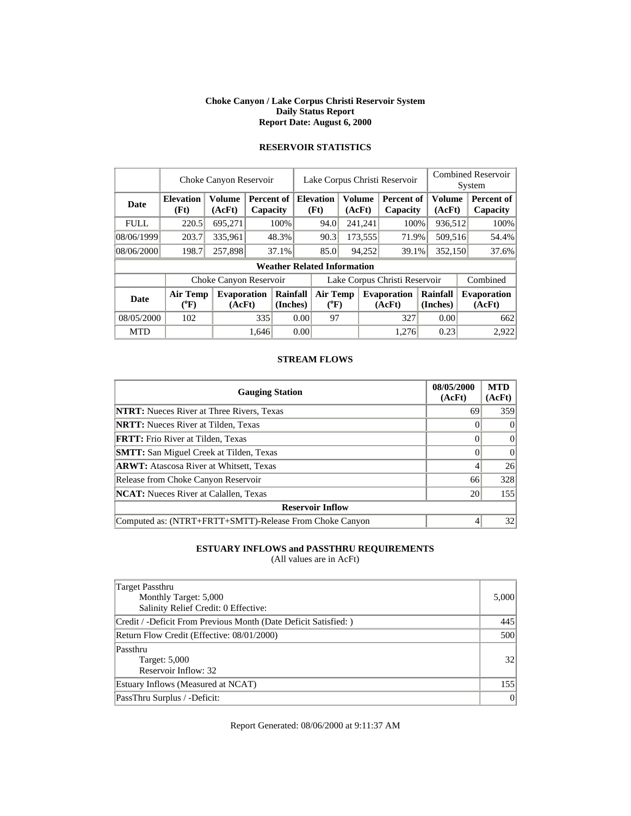#### **Choke Canyon / Lake Corpus Christi Reservoir System Daily Status Report Report Date: August 6, 2000**

## **RESERVOIR STATISTICS**

|             | Choke Canyon Reservoir   |                              | Lake Corpus Christi Reservoir |                                    |      |                          |                              |         | <b>Combined Reservoir</b><br>System |         |                         |  |                              |  |       |
|-------------|--------------------------|------------------------------|-------------------------------|------------------------------------|------|--------------------------|------------------------------|---------|-------------------------------------|---------|-------------------------|--|------------------------------|--|-------|
| Date        | <b>Elevation</b><br>(Ft) | <b>Volume</b><br>(AcFt)      | Percent of<br>Capacity        |                                    |      | <b>Elevation</b><br>(Ft) | <b>Volume</b>                | (AcFt)  | <b>Percent of</b><br>Capacity       |         | <b>Volume</b><br>(AcFt) |  | Percent of<br>Capacity       |  |       |
| <b>FULL</b> | 220.5                    | 695,271                      |                               | 100%                               |      | 94.0                     |                              | 241,241 | 100%                                |         | 936,512                 |  | 100%                         |  |       |
| 08/06/1999  | 203.7                    | 335.961                      |                               | 48.3%                              |      |                          |                              | 90.3    |                                     | 173,555 | 71.9%                   |  | 509,516                      |  | 54.4% |
| 08/06/2000  | 198.7                    | 257,898                      |                               | 37.1%                              |      | 85.0                     |                              | 94,252  | 39.1%                               | 352,150 |                         |  | 37.6%                        |  |       |
|             |                          |                              |                               | <b>Weather Related Information</b> |      |                          |                              |         |                                     |         |                         |  |                              |  |       |
|             |                          | Choke Canyon Reservoir       |                               |                                    |      |                          |                              |         | Lake Corpus Christi Reservoir       |         |                         |  | Combined                     |  |       |
| <b>Date</b> | <b>Air Temp</b><br>(°F)  | <b>Evaporation</b><br>(AcFt) |                               | Rainfall<br>(Inches)               |      |                          | <b>Air Temp</b><br>$(^{0}F)$ |         | <b>Evaporation</b><br>(AcFt)        |         | Rainfall<br>(Inches)    |  | <b>Evaporation</b><br>(AcFt) |  |       |
| 08/05/2000  | 102                      |                              | 335                           |                                    |      | 97<br>0.00               |                              |         | 327                                 |         | 0.00                    |  | 662                          |  |       |
| <b>MTD</b>  |                          |                              | 1.646                         |                                    | 0.00 |                          |                              |         | 1.276                               |         | 0.23                    |  | 2.922                        |  |       |

### **STREAM FLOWS**

| <b>Gauging Station</b>                                  | 08/05/2000<br>(AcFt) | <b>MTD</b><br>(AcFt) |  |  |  |  |
|---------------------------------------------------------|----------------------|----------------------|--|--|--|--|
| <b>NTRT:</b> Nueces River at Three Rivers, Texas        | 69                   | 359                  |  |  |  |  |
| <b>NRTT:</b> Nueces River at Tilden, Texas              |                      | $\Omega$             |  |  |  |  |
| <b>FRTT:</b> Frio River at Tilden, Texas                |                      | $\Omega$             |  |  |  |  |
| <b>SMTT:</b> San Miguel Creek at Tilden, Texas          |                      | $\Omega$             |  |  |  |  |
| <b>ARWT:</b> Atascosa River at Whitsett, Texas          |                      | 26                   |  |  |  |  |
| Release from Choke Canyon Reservoir                     | 66                   | 328                  |  |  |  |  |
| <b>NCAT:</b> Nueces River at Calallen, Texas            | 20                   | 155                  |  |  |  |  |
| <b>Reservoir Inflow</b>                                 |                      |                      |  |  |  |  |
| Computed as: (NTRT+FRTT+SMTT)-Release From Choke Canyon |                      | 32                   |  |  |  |  |

### **ESTUARY INFLOWS and PASSTHRU REQUIREMENTS**

(All values are in AcFt)

| Target Passthru<br>Monthly Target: 5,000<br>Salinity Relief Credit: 0 Effective: | 5,000           |
|----------------------------------------------------------------------------------|-----------------|
| Credit / -Deficit From Previous Month (Date Deficit Satisfied: )                 | 445             |
| Return Flow Credit (Effective: 08/01/2000)                                       | 500             |
| Passthru<br>Target: 5,000<br>Reservoir Inflow: 32                                | 32 <sup>1</sup> |
| Estuary Inflows (Measured at NCAT)                                               | 155             |
| PassThru Surplus / -Deficit:                                                     | 0               |

Report Generated: 08/06/2000 at 9:11:37 AM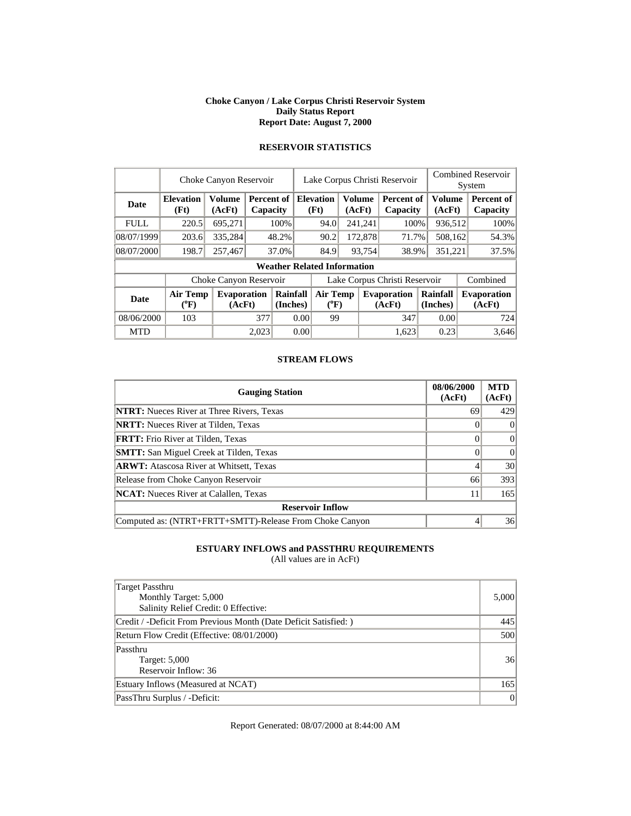#### **Choke Canyon / Lake Corpus Christi Reservoir System Daily Status Report Report Date: August 7, 2000**

|  | <b>RESERVOIR STATISTICS</b> |  |
|--|-----------------------------|--|
|  |                             |  |

|             | Choke Canyon Reservoir   |                              | Lake Corpus Christi Reservoir |      |                              |                                    |                         |                 | <b>Combined Reservoir</b><br>System |         |                         |  |                              |
|-------------|--------------------------|------------------------------|-------------------------------|------|------------------------------|------------------------------------|-------------------------|-----------------|-------------------------------------|---------|-------------------------|--|------------------------------|
| <b>Date</b> | <b>Elevation</b><br>(Ft) | Volume<br>(AcFt)             | <b>Percent of</b><br>Capacity |      |                              | <b>Elevation</b><br>(Ft)           | <b>Volume</b><br>(AcFt) |                 | Percent of<br>Capacity              |         | <b>Volume</b><br>(AcFt) |  | Percent of<br>Capacity       |
| <b>FULL</b> | 220.5                    | 695,271                      |                               | 100% |                              | 94.0                               |                         | 241,241         | 100%                                |         | 936,512                 |  | 100%                         |
| 08/07/1999  | 203.6                    | 335,284                      | 48.2%                         |      |                              |                                    |                         | 172,878         | 71.7%                               |         | 508,162                 |  | 54.3%                        |
| 08/07/2000  | 198.7                    | 257,467                      | 37.0%                         |      |                              |                                    |                         | 93,754<br>38.9% |                                     | 351,221 |                         |  | 37.5%                        |
|             |                          |                              |                               |      |                              | <b>Weather Related Information</b> |                         |                 |                                     |         |                         |  |                              |
|             |                          | Choke Canyon Reservoir       |                               |      |                              |                                    |                         |                 | Lake Corpus Christi Reservoir       |         |                         |  | Combined                     |
| <b>Date</b> | Air Temp<br>(°F)         | <b>Evaporation</b><br>(AcFt) | Rainfall<br>(Inches)          |      | <b>Air Temp</b><br>$(^{0}F)$ |                                    |                         |                 | <b>Evaporation</b><br>(AcFt)        |         | Rainfall<br>(Inches)    |  | <b>Evaporation</b><br>(AcFt) |
| 08/06/2000  | 103                      |                              | 377                           | 0.00 |                              | 99                                 |                         |                 | 347                                 |         | 0.00                    |  | 724                          |
| <b>MTD</b>  |                          |                              | 2.023                         |      | 0.00                         |                                    |                         |                 | 1.623                               |         | 0.23                    |  | 3.646                        |

### **STREAM FLOWS**

| <b>Gauging Station</b>                                  | 08/06/2000<br>(AcFt) | <b>MTD</b><br>(AcFt) |
|---------------------------------------------------------|----------------------|----------------------|
| <b>NTRT:</b> Nueces River at Three Rivers, Texas        | 69                   | 429                  |
| <b>NRTT:</b> Nueces River at Tilden, Texas              |                      | $\theta$             |
| <b>FRTT:</b> Frio River at Tilden, Texas                |                      | $\Omega$             |
| <b>SMTT:</b> San Miguel Creek at Tilden, Texas          |                      | $\Omega$             |
| <b>ARWT:</b> Atascosa River at Whitsett, Texas          |                      | 30                   |
| Release from Choke Canyon Reservoir                     | 66                   | 393                  |
| <b>NCAT:</b> Nueces River at Calallen, Texas            | 11                   | 165                  |
| <b>Reservoir Inflow</b>                                 |                      |                      |
| Computed as: (NTRT+FRTT+SMTT)-Release From Choke Canyon |                      | 36                   |

### **ESTUARY INFLOWS and PASSTHRU REQUIREMENTS**

(All values are in AcFt)

| Target Passthru<br>Monthly Target: 5,000<br>Salinity Relief Credit: 0 Effective: | 5,000 |
|----------------------------------------------------------------------------------|-------|
| Credit / -Deficit From Previous Month (Date Deficit Satisfied: )                 | 445   |
| Return Flow Credit (Effective: 08/01/2000)                                       | 500   |
| Passthru<br>Target: 5,000<br>Reservoir Inflow: 36                                | 36    |
| Estuary Inflows (Measured at NCAT)                                               | 165   |
| PassThru Surplus / -Deficit:                                                     | 0     |

Report Generated: 08/07/2000 at 8:44:00 AM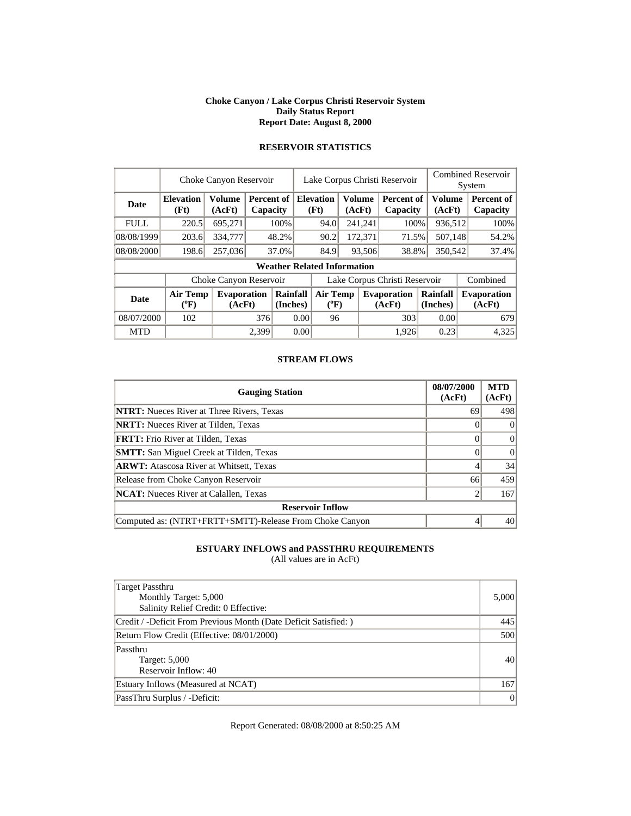#### **Choke Canyon / Lake Corpus Christi Reservoir System Daily Status Report Report Date: August 8, 2000**

|             | Choke Canyon Reservoir       |                              | Lake Corpus Christi Reservoir |                      |                                    |                         | <b>Combined Reservoir</b><br>System |         |                              |                      |                         |  |                              |
|-------------|------------------------------|------------------------------|-------------------------------|----------------------|------------------------------------|-------------------------|-------------------------------------|---------|------------------------------|----------------------|-------------------------|--|------------------------------|
| Date        | <b>Elevation</b><br>(Ft)     | <b>Volume</b><br>(AcFt)      | <b>Percent of</b><br>Capacity |                      | <b>Elevation</b><br>(Ft)           | <b>Volume</b><br>(AcFt) |                                     |         | Percent of<br>Capacity       |                      | <b>Volume</b><br>(AcFt) |  | Percent of<br>Capacity       |
| <b>FULL</b> | 220.5                        | 695,271                      |                               | 100%                 | 94.0                               |                         |                                     | 241,241 | 100%                         |                      | 936,512                 |  | 100%                         |
| 08/08/1999  | 203.6                        | 334,777                      |                               | 48.2%                |                                    | 90.2                    |                                     | 172,371 | 71.5%                        | 507,148              |                         |  | 54.2%                        |
| 08/08/2000  | 198.6                        | 257,036                      |                               | 37.0%                | 84.9                               |                         | 93,506                              |         | 38.8%                        | 350,542              |                         |  | 37.4%                        |
|             |                              |                              |                               |                      | <b>Weather Related Information</b> |                         |                                     |         |                              |                      |                         |  |                              |
|             |                              | Choke Canyon Reservoir       |                               |                      | Lake Corpus Christi Reservoir      |                         |                                     |         |                              |                      |                         |  | Combined                     |
| <b>Date</b> | <b>Air Temp</b><br>$(^{0}F)$ | <b>Evaporation</b><br>(AcFt) |                               | Rainfall<br>(Inches) | <b>Air Temp</b>                    | $({}^0\mathrm{F})$      |                                     |         | <b>Evaporation</b><br>(AcFt) | Rainfall<br>(Inches) |                         |  | <b>Evaporation</b><br>(AcFt) |
| 08/07/2000  | 102                          |                              | 376                           |                      | 0.00                               | 96                      |                                     |         | 303                          |                      | 0.00                    |  | 679                          |
| <b>MTD</b>  |                              |                              | 2,399                         |                      | 0.00                               |                         |                                     |         | 1.926                        |                      | 0.23                    |  | 4,325                        |

## **RESERVOIR STATISTICS**

#### **STREAM FLOWS**

| <b>Gauging Station</b>                                  | 08/07/2000<br>(AcFt) | <b>MTD</b><br>(AcFt) |
|---------------------------------------------------------|----------------------|----------------------|
| <b>NTRT:</b> Nueces River at Three Rivers, Texas        | 69                   | 498                  |
| <b>NRTT:</b> Nueces River at Tilden, Texas              |                      | $\Omega$             |
| <b>FRTT:</b> Frio River at Tilden, Texas                |                      | $\Omega$             |
| <b>SMTT:</b> San Miguel Creek at Tilden, Texas          |                      | $\Omega$             |
| <b>ARWT:</b> Atascosa River at Whitsett, Texas          |                      | 34                   |
| Release from Choke Canyon Reservoir                     | 66                   | 459                  |
| <b>NCAT:</b> Nueces River at Calallen, Texas            |                      | 167                  |
| <b>Reservoir Inflow</b>                                 |                      |                      |
| Computed as: (NTRT+FRTT+SMTT)-Release From Choke Canyon |                      | 40                   |

### **ESTUARY INFLOWS and PASSTHRU REQUIREMENTS**

(All values are in AcFt)

| <b>Target Passthru</b><br>Monthly Target: 5,000<br>Salinity Relief Credit: 0 Effective: | 5,000    |
|-----------------------------------------------------------------------------------------|----------|
| Credit / -Deficit From Previous Month (Date Deficit Satisfied:)                         | 445      |
| Return Flow Credit (Effective: 08/01/2000)                                              | 500      |
| Passthru<br>Target: 5,000<br>Reservoir Inflow: 40                                       | 40       |
| Estuary Inflows (Measured at NCAT)                                                      | 167      |
| PassThru Surplus / -Deficit:                                                            | $\Omega$ |

Report Generated: 08/08/2000 at 8:50:25 AM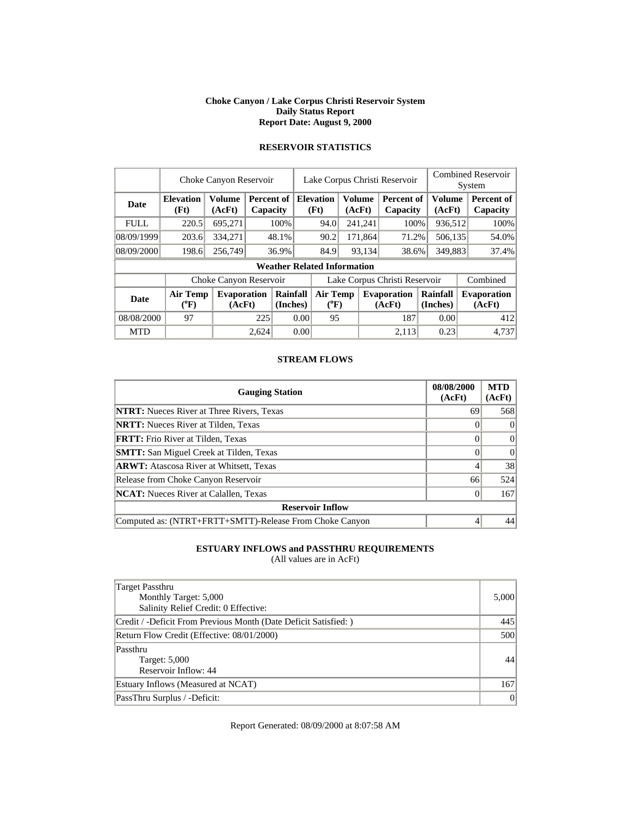#### **Choke Canyon / Lake Corpus Christi Reservoir System Daily Status Report Report Date: August 9, 2000**

|             | Choke Canyon Reservoir       |                              |       | Lake Corpus Christi Reservoir      |                               | <b>Combined Reservoir</b><br>System |        |               |                               |                      |  |                              |
|-------------|------------------------------|------------------------------|-------|------------------------------------|-------------------------------|-------------------------------------|--------|---------------|-------------------------------|----------------------|--|------------------------------|
| <b>Date</b> | <b>Elevation</b><br>(Ft)     | <b>Volume</b><br>(AcFt)      |       | Percent of<br>Capacity             |                               | <b>Elevation</b><br>(Ft)            | (AcFt) | <b>Volume</b> | <b>Percent of</b><br>Capacity | Volume<br>(AcFt)     |  | Percent of<br>Capacity       |
| <b>FULL</b> | 220.5                        | 695,271                      |       | 100%                               |                               | 94.0                                |        | 241,241       | 100%                          | 936,512              |  | 100%                         |
| 08/09/1999  | 203.6                        | 334,271                      |       | 48.1%                              |                               | 90.2                                |        | 171.864       | 71.2%                         | 506,135              |  | 54.0%                        |
| 08/09/2000  | 198.6                        | 256,749                      |       | 36.9%                              |                               | 84.9                                |        | 93,134        | 38.6%                         | 349,883              |  | 37.4%                        |
|             |                              |                              |       | <b>Weather Related Information</b> |                               |                                     |        |               |                               |                      |  |                              |
|             |                              | Choke Canyon Reservoir       |       |                                    | Lake Corpus Christi Reservoir |                                     |        |               |                               |                      |  | Combined                     |
| <b>Date</b> | <b>Air Temp</b><br>$(^{0}F)$ | <b>Evaporation</b><br>(AcFt) |       | Rainfall<br>(Inches)               |                               | <b>Air Temp</b><br>$(^oF)$          |        |               | <b>Evaporation</b><br>(AcFt)  | Rainfall<br>(Inches) |  | <b>Evaporation</b><br>(AcFt) |
| 08/08/2000  | 97                           |                              | 225   |                                    | 0.00                          | 95                                  |        |               | 187                           | 0.00                 |  | 412                          |
| <b>MTD</b>  |                              |                              | 2,624 |                                    | 0.00                          |                                     |        |               | 2.113                         | 0.23                 |  | 4.737                        |

### **RESERVOIR STATISTICS**

#### **STREAM FLOWS**

| <b>Gauging Station</b>                                  | 08/08/2000<br>(AcFt) | <b>MTD</b><br>(AcFt) |
|---------------------------------------------------------|----------------------|----------------------|
| <b>NTRT:</b> Nueces River at Three Rivers, Texas        | 69                   | 568                  |
| <b>NRTT:</b> Nueces River at Tilden, Texas              |                      | $\Omega$             |
| <b>FRTT:</b> Frio River at Tilden, Texas                |                      | $\Omega$             |
| <b>SMTT:</b> San Miguel Creek at Tilden, Texas          |                      | $\Omega$             |
| <b>ARWT:</b> Atascosa River at Whitsett, Texas          |                      | 38                   |
| Release from Choke Canyon Reservoir                     | 66                   | 524                  |
| <b>NCAT:</b> Nueces River at Calallen, Texas            |                      | 167                  |
| <b>Reservoir Inflow</b>                                 |                      |                      |
| Computed as: (NTRT+FRTT+SMTT)-Release From Choke Canyon |                      | 44                   |

### **ESTUARY INFLOWS and PASSTHRU REQUIREMENTS**

(All values are in AcFt)

| Target Passthru<br>Monthly Target: 5,000<br>Salinity Relief Credit: 0 Effective: | 5,000 |
|----------------------------------------------------------------------------------|-------|
| Credit / -Deficit From Previous Month (Date Deficit Satisfied: )                 | 445   |
| Return Flow Credit (Effective: 08/01/2000)                                       | 500   |
| Passthru<br>Target: 5,000<br>Reservoir Inflow: 44                                | 44    |
| Estuary Inflows (Measured at NCAT)                                               | 167   |
| PassThru Surplus / -Deficit:                                                     | 0     |

Report Generated: 08/09/2000 at 8:07:58 AM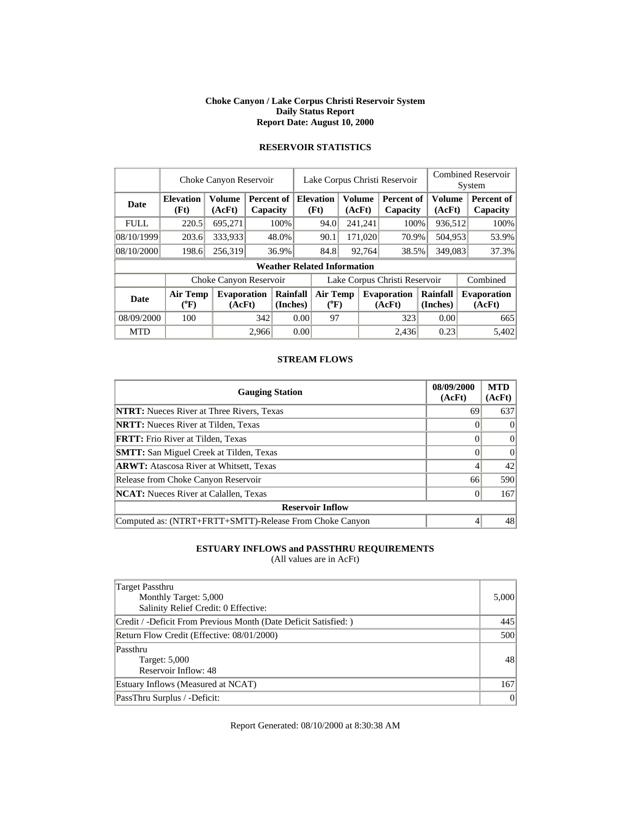#### **Choke Canyon / Lake Corpus Christi Reservoir System Daily Status Report Report Date: August 10, 2000**

|             | Choke Canyon Reservoir       |                              |       |                        |                               | Lake Corpus Christi Reservoir      |        |                  |                              |  |                         | <b>Combined Reservoir</b> |                              |  |  |
|-------------|------------------------------|------------------------------|-------|------------------------|-------------------------------|------------------------------------|--------|------------------|------------------------------|--|-------------------------|---------------------------|------------------------------|--|--|
|             |                              |                              |       |                        |                               |                                    |        |                  |                              |  |                         |                           | System                       |  |  |
| Date        | <b>Elevation</b><br>(Ft)     | <b>Volume</b><br>(AcFt)      |       | Percent of<br>Capacity |                               | <b>Elevation</b><br>(Ft)           |        | Volume<br>(AcFt) | Percent of<br>Capacity       |  | <b>Volume</b><br>(AcFt) |                           | Percent of<br>Capacity       |  |  |
| <b>FULL</b> | 220.5                        | 695,271                      |       | 100%                   |                               | 94.0                               |        | 241,241          | 100%                         |  | 936,512                 |                           | 100%                         |  |  |
| 08/10/1999  | 203.6                        | 333,933                      |       | 48.0%                  |                               | 90.1                               |        | 171,020          | 70.9%                        |  | 504,953                 |                           | 53.9%                        |  |  |
| 08/10/2000  | 198.6                        | 256,319                      |       | 36.9%                  |                               | 84.8                               | 92,764 |                  | 38.5%                        |  | 349,083                 |                           | 37.3%                        |  |  |
|             |                              |                              |       |                        |                               | <b>Weather Related Information</b> |        |                  |                              |  |                         |                           |                              |  |  |
|             |                              | Choke Canyon Reservoir       |       |                        | Lake Corpus Christi Reservoir |                                    |        |                  |                              |  |                         |                           | Combined                     |  |  |
| <b>Date</b> | <b>Air Temp</b><br>$(^{0}F)$ | <b>Evaporation</b><br>(AcFt) |       | Rainfall<br>(Inches)   |                               | Air Temp<br>$(^{0}F)$              |        |                  | <b>Evaporation</b><br>(AcFt) |  | Rainfall<br>(Inches)    |                           | <b>Evaporation</b><br>(AcFt) |  |  |
| 08/09/2000  | 100                          |                              | 342   |                        | 0.00                          | 97                                 |        |                  | 323                          |  | 0.00                    |                           | 665                          |  |  |
| <b>MTD</b>  |                              |                              | 2,966 |                        | 0.00                          |                                    |        |                  | 2,436                        |  | 0.23                    |                           | 5.402                        |  |  |

### **RESERVOIR STATISTICS**

#### **STREAM FLOWS**

| <b>Gauging Station</b>                                  | 08/09/2000<br>(AcFt) | <b>MTD</b><br>(AcFt) |
|---------------------------------------------------------|----------------------|----------------------|
| <b>NTRT:</b> Nueces River at Three Rivers, Texas        | 69                   | 637                  |
| <b>NRTT:</b> Nueces River at Tilden, Texas              |                      | $\theta$             |
| <b>FRTT:</b> Frio River at Tilden, Texas                |                      | $\Omega$             |
| <b>SMTT:</b> San Miguel Creek at Tilden, Texas          |                      | $\Omega$             |
| <b>ARWT:</b> Atascosa River at Whitsett, Texas          |                      | 42                   |
| Release from Choke Canyon Reservoir                     | 66                   | 590                  |
| <b>NCAT:</b> Nueces River at Calallen, Texas            |                      | 167                  |
| <b>Reservoir Inflow</b>                                 |                      |                      |
| Computed as: (NTRT+FRTT+SMTT)-Release From Choke Canyon |                      | 48                   |

### **ESTUARY INFLOWS and PASSTHRU REQUIREMENTS**

(All values are in AcFt)

| Target Passthru<br>Monthly Target: 5,000<br>Salinity Relief Credit: 0 Effective: | 5,000 |
|----------------------------------------------------------------------------------|-------|
| Credit / -Deficit From Previous Month (Date Deficit Satisfied: )                 | 445   |
| Return Flow Credit (Effective: 08/01/2000)                                       | 500   |
| Passthru<br>Target: 5,000<br>Reservoir Inflow: 48                                | 48    |
| Estuary Inflows (Measured at NCAT)                                               | 167   |
| PassThru Surplus / -Deficit:                                                     | 0     |

Report Generated: 08/10/2000 at 8:30:38 AM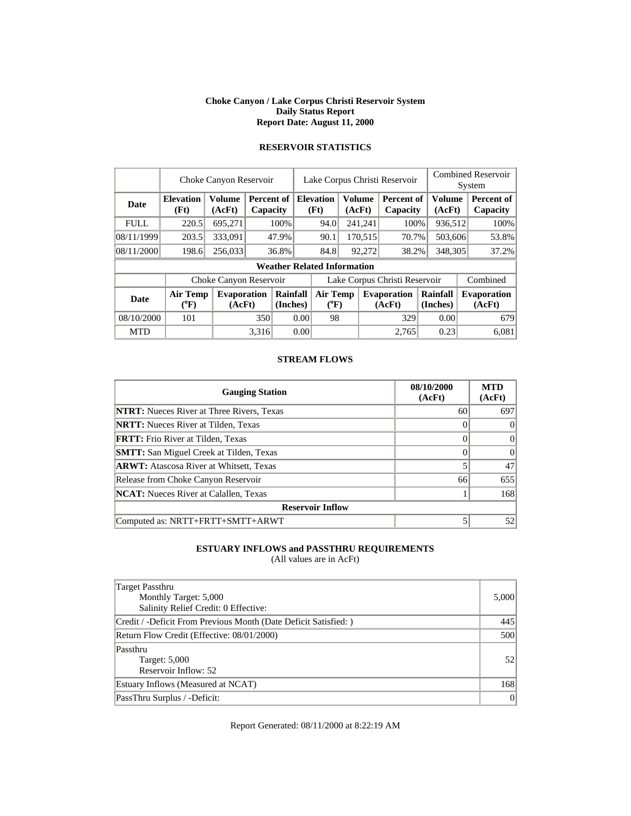#### **Choke Canyon / Lake Corpus Christi Reservoir System Daily Status Report Report Date: August 11, 2000**

|             | Choke Canyon Reservoir   |                              |       |                        |                               | Lake Corpus Christi Reservoir      |        |                         |                              |                      |                         | <b>Combined Reservoir</b><br>System |                               |  |
|-------------|--------------------------|------------------------------|-------|------------------------|-------------------------------|------------------------------------|--------|-------------------------|------------------------------|----------------------|-------------------------|-------------------------------------|-------------------------------|--|
| Date        | <b>Elevation</b><br>(Ft) | Volume<br>(AcFt)             |       | Percent of<br>Capacity |                               | <b>Elevation</b><br>(Ft)           |        | <b>Volume</b><br>(AcFt) | Percent of<br>Capacity       |                      | <b>Volume</b><br>(AcFt) |                                     | <b>Percent of</b><br>Capacity |  |
| <b>FULL</b> | 220.5                    | 695,271                      |       | 100%                   |                               | 94.0                               |        | 241,241                 | 100%                         |                      | 936,512                 |                                     | 100%                          |  |
| 08/11/1999  | 203.5                    | 333,091                      |       | 47.9%                  |                               | 90.1                               |        | 170,515                 | 70.7%                        |                      | 503,606                 |                                     | 53.8%                         |  |
| 08/11/2000  | 198.6                    | 256,033                      |       | 36.8%                  |                               | 84.8                               | 92,272 |                         | 38.2%                        | 348,305              |                         |                                     | 37.2%                         |  |
|             |                          |                              |       |                        |                               | <b>Weather Related Information</b> |        |                         |                              |                      |                         |                                     |                               |  |
|             |                          | Choke Canyon Reservoir       |       |                        | Lake Corpus Christi Reservoir |                                    |        |                         |                              |                      |                         | Combined                            |                               |  |
| <b>Date</b> | <b>Air Temp</b><br>(°F)  | <b>Evaporation</b><br>(AcFt) |       | Rainfall<br>(Inches)   |                               | <b>Air Temp</b><br>$(^{0}F)$       |        |                         | <b>Evaporation</b><br>(AcFt) | Rainfall<br>(Inches) |                         |                                     | <b>Evaporation</b><br>(AcFt)  |  |
| 08/10/2000  | 101                      |                              | 350   |                        | 0.00                          | 98                                 |        |                         | 329                          |                      | 0.00                    |                                     | 679                           |  |
| <b>MTD</b>  |                          |                              | 3,316 |                        | 0.00                          |                                    |        |                         | 2.765                        |                      | 0.23                    |                                     | 6,081                         |  |

## **RESERVOIR STATISTICS**

### **STREAM FLOWS**

| <b>Gauging Station</b>                           | 08/10/2000<br>(AcFt) | <b>MTD</b><br>(AcFt) |
|--------------------------------------------------|----------------------|----------------------|
| <b>NTRT:</b> Nueces River at Three Rivers, Texas | 60                   | 697                  |
| <b>NRTT:</b> Nueces River at Tilden, Texas       |                      |                      |
| <b>FRTT:</b> Frio River at Tilden, Texas         |                      | 0                    |
| <b>SMTT:</b> San Miguel Creek at Tilden, Texas   |                      |                      |
| <b>ARWT:</b> Atascosa River at Whitsett, Texas   |                      | 47                   |
| Release from Choke Canyon Reservoir              | 66                   | 655                  |
| <b>NCAT:</b> Nueces River at Calallen, Texas     |                      | 168                  |
| <b>Reservoir Inflow</b>                          |                      |                      |
| Computed as: NRTT+FRTT+SMTT+ARWT                 |                      | 52 <sub>1</sub>      |

### **ESTUARY INFLOWS and PASSTHRU REQUIREMENTS**

(All values are in AcFt)

| Target Passthru<br>Monthly Target: 5,000<br>Salinity Relief Credit: 0 Effective: | 5,000           |
|----------------------------------------------------------------------------------|-----------------|
| Credit / -Deficit From Previous Month (Date Deficit Satisfied:)                  | 445             |
| Return Flow Credit (Effective: 08/01/2000)                                       | 500             |
| Passthru<br>Target: 5,000<br>Reservoir Inflow: 52                                | 52 <sub>1</sub> |
| Estuary Inflows (Measured at NCAT)                                               | 168             |
| PassThru Surplus / -Deficit:                                                     | $\vert$         |

Report Generated: 08/11/2000 at 8:22:19 AM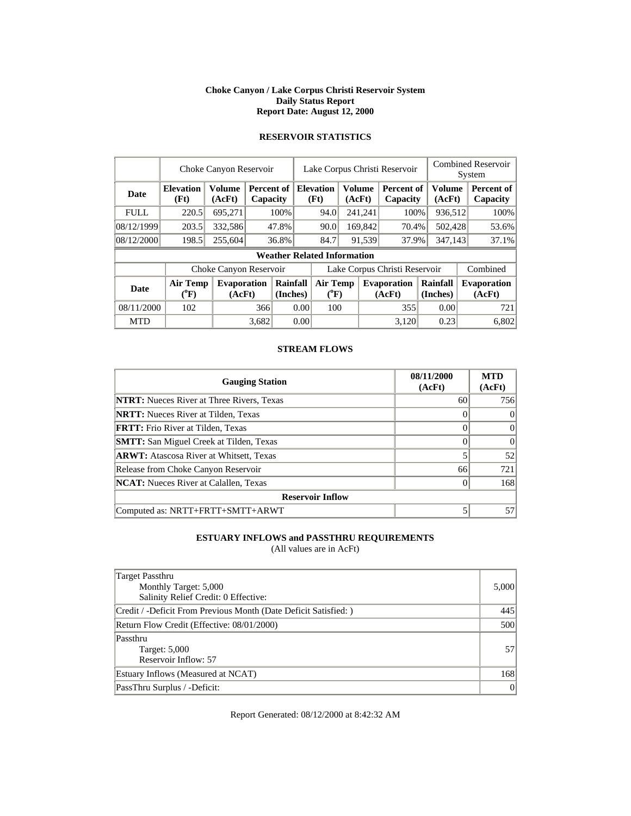#### **Choke Canyon / Lake Corpus Christi Reservoir System Daily Status Report Report Date: August 12, 2000**

### **RESERVOIR STATISTICS**

|             |                                       | Choke Canyon Reservoir  |       |                        |      | Lake Corpus Christi Reservoir      |  |                         |                               |  |                         | <b>Combined Reservoir</b><br>System |                               |  |  |
|-------------|---------------------------------------|-------------------------|-------|------------------------|------|------------------------------------|--|-------------------------|-------------------------------|--|-------------------------|-------------------------------------|-------------------------------|--|--|
| <b>Date</b> | <b>Elevation</b><br>(Ft)              | <b>Volume</b><br>(AcFt) |       | Percent of<br>Capacity |      | <b>Elevation</b><br>(Ft)           |  | <b>Volume</b><br>(AcFt) | Percent of<br>Capacity        |  | <b>Volume</b><br>(AcFt) |                                     | <b>Percent of</b><br>Capacity |  |  |
| <b>FULL</b> | 220.5                                 | 695,271                 |       | 100%                   |      | 94.0                               |  | 241,241                 | 100%                          |  | 936,512                 |                                     | 100%                          |  |  |
| 08/12/1999  | 203.5                                 | 332,586                 |       | 47.8%                  |      | 90.0                               |  | 169,842                 | 70.4%                         |  | 502,428                 |                                     | 53.6%                         |  |  |
| 08/12/2000  | 198.5                                 | 255,604                 |       | 36.8%                  |      | 84.7                               |  | 91,539                  | 37.9%                         |  | 347,143                 |                                     | 37.1%                         |  |  |
|             |                                       |                         |       |                        |      | <b>Weather Related Information</b> |  |                         |                               |  |                         |                                     |                               |  |  |
|             |                                       | Choke Canyon Reservoir  |       |                        |      |                                    |  |                         | Lake Corpus Christi Reservoir |  |                         |                                     | Combined                      |  |  |
| <b>Date</b> | <b>Air Temp</b><br>$({}^0\mathrm{F})$ | Evaporation<br>(AcFt)   |       | Rainfall<br>(Inches)   |      | <b>Air Temp</b><br>$(^{0}F)$       |  |                         | <b>Evaporation</b><br>(AcFt)  |  | Rainfall<br>(Inches)    |                                     | <b>Evaporation</b><br>(AcFt)  |  |  |
| 08/11/2000  | 102                                   |                         | 366   |                        | 0.00 | 100                                |  |                         | 355                           |  | 0.00                    |                                     | 721                           |  |  |
| <b>MTD</b>  |                                       |                         | 3.682 |                        | 0.00 |                                    |  |                         | 3.120                         |  | 0.23                    |                                     | 6,802                         |  |  |

### **STREAM FLOWS**

| <b>Gauging Station</b>                           | 08/11/2000<br>(AcFt) | <b>MTD</b><br>(AcFt) |
|--------------------------------------------------|----------------------|----------------------|
| <b>NTRT:</b> Nueces River at Three Rivers, Texas | 60                   | 756                  |
| <b>NRTT:</b> Nueces River at Tilden, Texas       |                      |                      |
| <b>FRTT:</b> Frio River at Tilden, Texas         |                      | $\Omega$             |
| <b>SMTT:</b> San Miguel Creek at Tilden, Texas   |                      | $\Omega$             |
| <b>ARWT:</b> Atascosa River at Whitsett, Texas   |                      | 52                   |
| Release from Choke Canyon Reservoir              | 66                   | 721                  |
| <b>NCAT:</b> Nueces River at Calallen, Texas     |                      | 168                  |
| <b>Reservoir Inflow</b>                          |                      |                      |
| Computed as: NRTT+FRTT+SMTT+ARWT                 |                      | 57                   |

### **ESTUARY INFLOWS and PASSTHRU REQUIREMENTS**

(All values are in AcFt)

| Target Passthru<br>Monthly Target: 5,000<br>Salinity Relief Credit: 0 Effective: | 5,000 |
|----------------------------------------------------------------------------------|-------|
| Credit / -Deficit From Previous Month (Date Deficit Satisfied:)                  | 445   |
| Return Flow Credit (Effective: 08/01/2000)                                       | 500   |
| Passthru<br>Target: 5,000<br>Reservoir Inflow: 57                                | 571   |
| Estuary Inflows (Measured at NCAT)                                               | 168   |
| PassThru Surplus / -Deficit:                                                     | 0     |

Report Generated: 08/12/2000 at 8:42:32 AM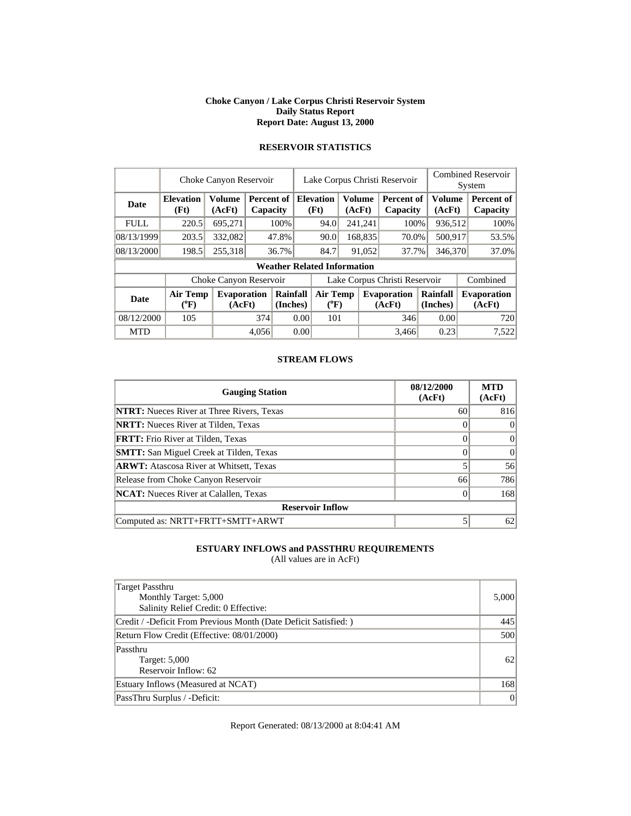#### **Choke Canyon / Lake Corpus Christi Reservoir System Daily Status Report Report Date: August 13, 2000**

|             |                              | Choke Canyon Reservoir  |                               |                      | <b>Combined Reservoir</b><br>Lake Corpus Christi Reservoir<br>System |                                    |               |         |                               |                      |                  |  |                               |
|-------------|------------------------------|-------------------------|-------------------------------|----------------------|----------------------------------------------------------------------|------------------------------------|---------------|---------|-------------------------------|----------------------|------------------|--|-------------------------------|
| Date        | <b>Elevation</b><br>(Ft)     | <b>Volume</b><br>(AcFt) | <b>Percent of</b><br>Capacity |                      |                                                                      | <b>Elevation</b><br>(Ft)           | <b>Volume</b> | (AcFt)  | <b>Percent of</b><br>Capacity |                      | Volume<br>(AcFt) |  | <b>Percent of</b><br>Capacity |
| <b>FULL</b> | 220.5                        | 695,271                 |                               | 100%                 |                                                                      | 94.0                               |               | 241,241 | 100%                          |                      | 936,512          |  | 100%                          |
| 08/13/1999  | 203.5                        | 332,082                 |                               | 47.8%                |                                                                      | 90.0                               |               | 168,835 | 70.0%                         |                      | 500,917          |  | 53.5%                         |
| 08/13/2000  | 198.5                        | 255,318                 |                               | 36.7%                |                                                                      | 84.7                               |               | 91,052  | 37.7%                         |                      | 346,370          |  | 37.0%                         |
|             |                              |                         |                               |                      |                                                                      | <b>Weather Related Information</b> |               |         |                               |                      |                  |  |                               |
|             |                              | Choke Canyon Reservoir  |                               |                      |                                                                      |                                    |               |         | Lake Corpus Christi Reservoir |                      |                  |  | Combined                      |
| <b>Date</b> | <b>Air Temp</b><br>$(^{0}F)$ | Evaporation<br>(AcFt)   |                               | Rainfall<br>(Inches) |                                                                      | <b>Air Temp</b><br>$(^{0}F)$       |               |         | <b>Evaporation</b><br>(AcFt)  | Rainfall<br>(Inches) |                  |  | <b>Evaporation</b><br>(AcFt)  |
| 08/12/2000  | 105                          |                         | 374                           |                      | 0.00                                                                 | 101                                |               |         | 346                           |                      | 0.00             |  | 720                           |
| <b>MTD</b>  |                              |                         | 4,056                         |                      | 0.00                                                                 |                                    |               |         | 3.466                         |                      | 0.23             |  | 7,522                         |

## **RESERVOIR STATISTICS**

### **STREAM FLOWS**

| <b>Gauging Station</b>                           | 08/12/2000<br>(AcFt) | <b>MTD</b><br>(AcFt) |
|--------------------------------------------------|----------------------|----------------------|
| <b>NTRT:</b> Nueces River at Three Rivers, Texas | 60                   | 816                  |
| <b>NRTT:</b> Nueces River at Tilden, Texas       |                      |                      |
| <b>FRTT:</b> Frio River at Tilden, Texas         |                      |                      |
| <b>SMTT:</b> San Miguel Creek at Tilden, Texas   |                      |                      |
| <b>ARWT:</b> Atascosa River at Whitsett, Texas   |                      | 56                   |
| Release from Choke Canyon Reservoir              | 66                   | 786                  |
| <b>NCAT:</b> Nueces River at Calallen, Texas     |                      | 168                  |
| <b>Reservoir Inflow</b>                          |                      |                      |
| Computed as: NRTT+FRTT+SMTT+ARWT                 |                      | 62                   |

### **ESTUARY INFLOWS and PASSTHRU REQUIREMENTS**

(All values are in AcFt)

| Target Passthru<br>Monthly Target: 5,000<br>Salinity Relief Credit: 0 Effective: | 5,000         |
|----------------------------------------------------------------------------------|---------------|
| Credit / -Deficit From Previous Month (Date Deficit Satisfied:)                  | 445           |
| Return Flow Credit (Effective: 08/01/2000)                                       | 500           |
| Passthru<br>Target: 5,000<br>Reservoir Inflow: 62                                | <sup>62</sup> |
| Estuary Inflows (Measured at NCAT)                                               | 168           |
| PassThru Surplus / -Deficit:                                                     | 0             |

Report Generated: 08/13/2000 at 8:04:41 AM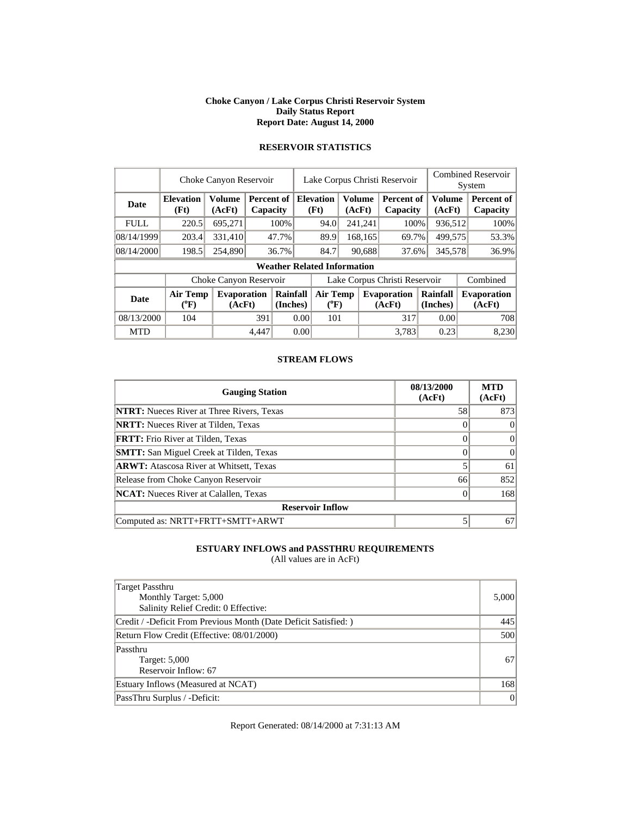#### **Choke Canyon / Lake Corpus Christi Reservoir System Daily Status Report Report Date: August 14, 2000**

|             |                          | Choke Canyon Reservoir       |       |                        |      |                                    |  |                         | Lake Corpus Christi Reservoir |  |                         | <b>Combined Reservoir</b><br>System |
|-------------|--------------------------|------------------------------|-------|------------------------|------|------------------------------------|--|-------------------------|-------------------------------|--|-------------------------|-------------------------------------|
| Date        | <b>Elevation</b><br>(Ft) | Volume<br>(AcFt)             |       | Percent of<br>Capacity |      | <b>Elevation</b><br>(Ft)           |  | <b>Volume</b><br>(AcFt) | Percent of<br>Capacity        |  | <b>Volume</b><br>(AcFt) | Percent of<br>Capacity              |
| <b>FULL</b> | 220.5                    | 695,271                      |       | 100%                   |      | 94.0                               |  | 241,241                 | 100%                          |  | 936,512                 | 100%                                |
| 08/14/1999  | 203.4                    | 331,410                      |       | 47.7%                  |      | 89.9                               |  | 168,165                 | 69.7%                         |  | 499,575                 | 53.3%                               |
| 08/14/2000  | 198.5                    | 254,890                      |       | 36.7%                  |      | 84.7                               |  | 90,688                  | 37.6%                         |  | 345,578                 | 36.9%                               |
|             |                          |                              |       |                        |      | <b>Weather Related Information</b> |  |                         |                               |  |                         |                                     |
|             |                          | Choke Canyon Reservoir       |       |                        |      |                                    |  |                         | Lake Corpus Christi Reservoir |  |                         | Combined                            |
| <b>Date</b> | Air Temp<br>$(^{0}F)$    | <b>Evaporation</b><br>(AcFt) |       | Rainfall<br>(Inches)   |      | Air Temp<br>$(^{0}F)$              |  |                         | <b>Evaporation</b><br>(AcFt)  |  | Rainfall<br>(Inches)    | <b>Evaporation</b><br>(AcFt)        |
| 08/13/2000  | 104                      |                              | 391   |                        | 0.00 | 101                                |  |                         | 317                           |  | 0.00                    | 708                                 |
| <b>MTD</b>  |                          |                              | 4.447 |                        | 0.00 |                                    |  |                         | 3.783                         |  | 0.23                    | 8,230                               |

## **RESERVOIR STATISTICS**

### **STREAM FLOWS**

| <b>Gauging Station</b>                           | 08/13/2000<br>(AcFt) | <b>MTD</b><br>(AcFt) |
|--------------------------------------------------|----------------------|----------------------|
| <b>NTRT:</b> Nueces River at Three Rivers, Texas | 58                   | 873                  |
| <b>NRTT:</b> Nueces River at Tilden, Texas       |                      |                      |
| <b>FRTT:</b> Frio River at Tilden, Texas         |                      | $\Omega$             |
| <b>SMTT:</b> San Miguel Creek at Tilden, Texas   |                      | 0                    |
| <b>ARWT:</b> Atascosa River at Whitsett, Texas   |                      | 61                   |
| Release from Choke Canyon Reservoir              | 66                   | 852                  |
| <b>NCAT:</b> Nueces River at Calallen, Texas     |                      | 168                  |
| <b>Reservoir Inflow</b>                          |                      |                      |
| Computed as: NRTT+FRTT+SMTT+ARWT                 |                      | 67                   |

### **ESTUARY INFLOWS and PASSTHRU REQUIREMENTS**

(All values are in AcFt)

| Target Passthru<br>Monthly Target: 5,000<br>Salinity Relief Credit: 0 Effective: | 5,000   |
|----------------------------------------------------------------------------------|---------|
| Credit / -Deficit From Previous Month (Date Deficit Satisfied:)                  | 445     |
| Return Flow Credit (Effective: 08/01/2000)                                       | 500     |
| Passthru<br>Target: 5,000<br>Reservoir Inflow: 67                                | 67      |
| Estuary Inflows (Measured at NCAT)                                               | 168     |
| PassThru Surplus / -Deficit:                                                     | $\vert$ |

Report Generated: 08/14/2000 at 7:31:13 AM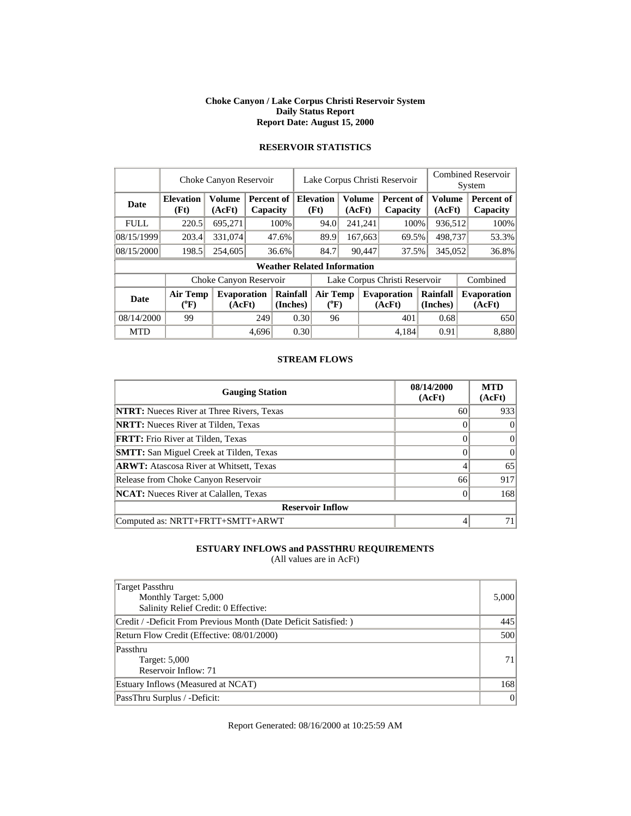#### **Choke Canyon / Lake Corpus Christi Reservoir System Daily Status Report Report Date: August 15, 2000**

|             |                          | Choke Canyon Reservoir       |                        |                      |      |                                    |                         | Lake Corpus Christi Reservoir |  |                         | <b>Combined Reservoir</b><br>System |
|-------------|--------------------------|------------------------------|------------------------|----------------------|------|------------------------------------|-------------------------|-------------------------------|--|-------------------------|-------------------------------------|
| Date        | <b>Elevation</b><br>(Ft) | Volume<br>(AcFt)             | Percent of<br>Capacity |                      |      | <b>Elevation</b><br>(Ft)           | <b>Volume</b><br>(AcFt) | Percent of<br>Capacity        |  | <b>Volume</b><br>(AcFt) | <b>Percent of</b><br>Capacity       |
| <b>FULL</b> | 220.5                    | 695,271                      |                        | 100%                 |      | 94.0                               | 241,241                 | 100%                          |  | 936,512                 | 100%                                |
| 08/15/1999  | 203.4                    | 331,074                      |                        | 47.6%                |      | 89.9                               | 167,663                 | 69.5%                         |  | 498,737                 | 53.3%                               |
| 08/15/2000  | 198.5                    | 254,605                      |                        | 36.6%                |      | 84.7                               | 90,447                  | 37.5%                         |  | 345,052                 | 36.8%                               |
|             |                          |                              |                        |                      |      | <b>Weather Related Information</b> |                         |                               |  |                         |                                     |
|             |                          | Choke Canyon Reservoir       |                        |                      |      |                                    |                         | Lake Corpus Christi Reservoir |  |                         | Combined                            |
| <b>Date</b> | <b>Air Temp</b><br>(°F)  | <b>Evaporation</b><br>(AcFt) |                        | Rainfall<br>(Inches) |      | <b>Air Temp</b><br>$(^{0}F)$       |                         | <b>Evaporation</b><br>(AcFt)  |  | Rainfall<br>(Inches)    | <b>Evaporation</b><br>(AcFt)        |
| 08/14/2000  | 99                       |                              | 249                    |                      | 0.30 | 96                                 |                         | 401                           |  | 0.68                    | 650                                 |
| <b>MTD</b>  |                          |                              | 4,696                  |                      | 0.30 |                                    |                         | 4.184                         |  | 0.91                    | 8,880                               |

## **RESERVOIR STATISTICS**

### **STREAM FLOWS**

| <b>Gauging Station</b>                           | 08/14/2000<br>(AcFt) | <b>MTD</b><br>(AcFt) |
|--------------------------------------------------|----------------------|----------------------|
| <b>NTRT:</b> Nueces River at Three Rivers, Texas | 60                   | 933                  |
| <b>NRTT:</b> Nueces River at Tilden, Texas       |                      |                      |
| <b>FRTT:</b> Frio River at Tilden, Texas         |                      | 0                    |
| <b>SMTT:</b> San Miguel Creek at Tilden, Texas   |                      |                      |
| <b>ARWT:</b> Atascosa River at Whitsett, Texas   |                      | 65                   |
| Release from Choke Canyon Reservoir              | 66                   | 917                  |
| <b>NCAT:</b> Nueces River at Calallen, Texas     |                      | 168                  |
| <b>Reservoir Inflow</b>                          |                      |                      |
| Computed as: NRTT+FRTT+SMTT+ARWT                 |                      |                      |

### **ESTUARY INFLOWS and PASSTHRU REQUIREMENTS**

(All values are in AcFt)

| Target Passthru<br>Monthly Target: 5,000<br>Salinity Relief Credit: 0 Effective: | 5,000 |
|----------------------------------------------------------------------------------|-------|
| Credit / -Deficit From Previous Month (Date Deficit Satisfied:)                  | 445   |
| Return Flow Credit (Effective: 08/01/2000)                                       | 500   |
| Passthru<br>Target: 5,000<br>Reservoir Inflow: 71                                | 71    |
| Estuary Inflows (Measured at NCAT)                                               | 168   |
| PassThru Surplus / -Deficit:                                                     | 0     |

Report Generated: 08/16/2000 at 10:25:59 AM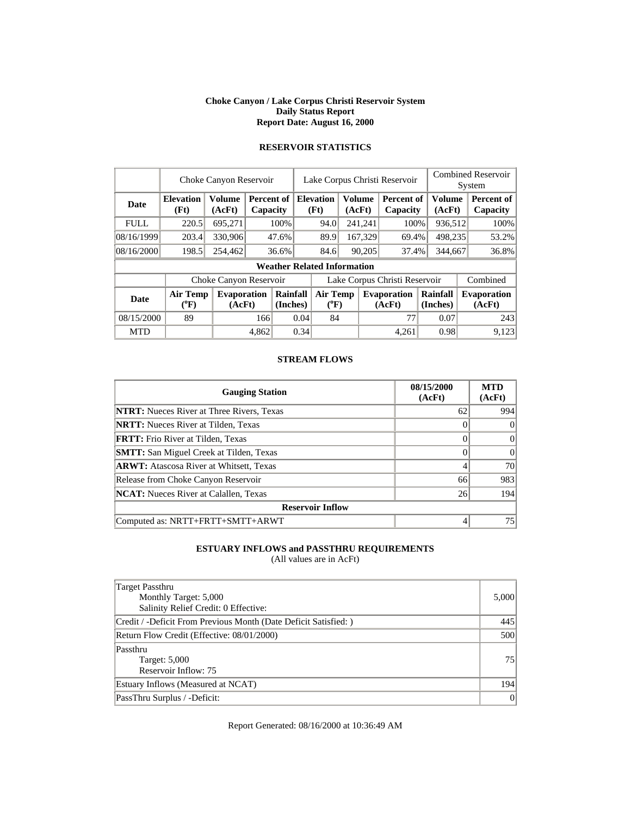#### **Choke Canyon / Lake Corpus Christi Reservoir System Daily Status Report Report Date: August 16, 2000**

|             | Choke Canyon Reservoir   |                              |       |                        |      | Lake Corpus Christi Reservoir      |  |                  |                               |  |                         | <b>Combined Reservoir</b> |                              |  |  |
|-------------|--------------------------|------------------------------|-------|------------------------|------|------------------------------------|--|------------------|-------------------------------|--|-------------------------|---------------------------|------------------------------|--|--|
|             |                          |                              |       |                        |      |                                    |  |                  |                               |  |                         |                           | System                       |  |  |
| Date        | <b>Elevation</b><br>(Ft) | Volume<br>(AcFt)             |       | Percent of<br>Capacity |      | <b>Elevation</b><br>(Ft)           |  | Volume<br>(AcFt) | Percent of<br>Capacity        |  | <b>Volume</b><br>(AcFt) |                           | Percent of<br>Capacity       |  |  |
| <b>FULL</b> | 220.5                    | 695,271                      |       | 100%                   |      | 94.0                               |  | 241,241          | 100%                          |  | 936,512                 |                           | 100%                         |  |  |
| 08/16/1999  | 203.4                    | 330,906                      |       | 47.6%                  |      | 89.9                               |  | 167,329          | 69.4%                         |  | 498,235                 |                           | 53.2%                        |  |  |
| 08/16/2000  | 198.5                    | 254,462                      |       | 36.6%                  |      | 84.6                               |  | 90,205           | 37.4%                         |  | 344,667                 |                           | 36.8%                        |  |  |
|             |                          |                              |       |                        |      | <b>Weather Related Information</b> |  |                  |                               |  |                         |                           |                              |  |  |
|             |                          | Choke Canyon Reservoir       |       |                        |      |                                    |  |                  | Lake Corpus Christi Reservoir |  |                         |                           | Combined                     |  |  |
| Date        | Air Temp<br>$(^oF)$      | <b>Evaporation</b><br>(AcFt) |       | Rainfall<br>(Inches)   |      | <b>Air Temp</b><br>$(^{0}F)$       |  |                  | <b>Evaporation</b><br>(AcFt)  |  | Rainfall<br>(Inches)    |                           | <b>Evaporation</b><br>(AcFt) |  |  |
| 08/15/2000  | 89                       |                              | 166   |                        | 0.04 | 84                                 |  |                  | 77                            |  | 0.07                    |                           | 243                          |  |  |
| <b>MTD</b>  |                          |                              | 4,862 |                        | 0.34 |                                    |  |                  | 4.261                         |  | 0.98                    |                           | 9,123                        |  |  |

### **RESERVOIR STATISTICS**

### **STREAM FLOWS**

| <b>Gauging Station</b>                           | 08/15/2000<br>(AcFt) | <b>MTD</b><br>(AcFt) |
|--------------------------------------------------|----------------------|----------------------|
| <b>NTRT:</b> Nueces River at Three Rivers, Texas | 62                   | 994                  |
| <b>NRTT:</b> Nueces River at Tilden, Texas       |                      |                      |
| <b>FRTT:</b> Frio River at Tilden, Texas         |                      | 0                    |
| <b>SMTT:</b> San Miguel Creek at Tilden, Texas   |                      | 0                    |
| <b>ARWT:</b> Atascosa River at Whitsett, Texas   |                      | 70                   |
| Release from Choke Canyon Reservoir              | 66                   | 983                  |
| <b>NCAT:</b> Nueces River at Calallen, Texas     | 26                   | 194                  |
| <b>Reservoir Inflow</b>                          |                      |                      |
| Computed as: NRTT+FRTT+SMTT+ARWT                 |                      | 75                   |

### **ESTUARY INFLOWS and PASSTHRU REQUIREMENTS**

(All values are in AcFt)

| Target Passthru<br>Monthly Target: 5,000<br>Salinity Relief Credit: 0 Effective: | 5,000          |
|----------------------------------------------------------------------------------|----------------|
| Credit / -Deficit From Previous Month (Date Deficit Satisfied:)                  | 445            |
| Return Flow Credit (Effective: 08/01/2000)                                       | 500            |
| Passthru<br>Target: 5,000<br>Reservoir Inflow: 75                                | 751            |
| Estuary Inflows (Measured at NCAT)                                               | 194            |
| PassThru Surplus / -Deficit:                                                     | $\overline{0}$ |

Report Generated: 08/16/2000 at 10:36:49 AM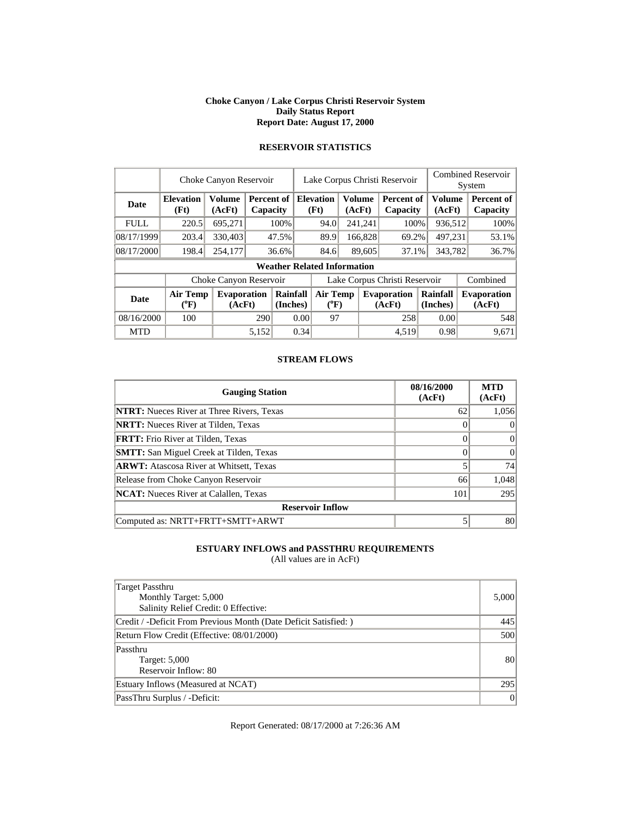#### **Choke Canyon / Lake Corpus Christi Reservoir System Daily Status Report Report Date: August 17, 2000**

|             |                              | Choke Canyon Reservoir       |                        |                      |                          |                                    | Lake Corpus Christi Reservoir |               |                               |  |                         | <b>Combined Reservoir</b><br>System |                              |  |  |
|-------------|------------------------------|------------------------------|------------------------|----------------------|--------------------------|------------------------------------|-------------------------------|---------------|-------------------------------|--|-------------------------|-------------------------------------|------------------------------|--|--|
| Date        | <b>Elevation</b><br>(Ft)     | <b>Volume</b><br>(AcFt)      | Percent of<br>Capacity |                      | <b>Elevation</b><br>(Ft) |                                    | (AcFt)                        | <b>Volume</b> | Percent of<br>Capacity        |  | <b>Volume</b><br>(AcFt) |                                     | Percent of<br>Capacity       |  |  |
| <b>FULL</b> | 220.5                        | 695,271                      |                        | 100%                 |                          | 94.0                               |                               | 241,241       | 100%                          |  | 936,512                 |                                     | 100%                         |  |  |
| 08/17/1999  | 203.4                        | 330,403                      |                        | 47.5%                |                          | 89.9                               |                               | 166,828       | 69.2%                         |  | 497,231                 |                                     | 53.1%                        |  |  |
| 08/17/2000  | 198.4                        | 254,177                      |                        | 36.6%                |                          | 84.6                               |                               | 89,605        | 37.1%                         |  | 343,782                 |                                     | 36.7%                        |  |  |
|             |                              |                              |                        |                      |                          | <b>Weather Related Information</b> |                               |               |                               |  |                         |                                     |                              |  |  |
|             |                              | Choke Canyon Reservoir       |                        |                      |                          |                                    |                               |               | Lake Corpus Christi Reservoir |  |                         |                                     | Combined                     |  |  |
| <b>Date</b> | <b>Air Temp</b><br>$(^{0}F)$ | <b>Evaporation</b><br>(AcFt) |                        | Rainfall<br>(Inches) |                          | <b>Air Temp</b><br>$(^{0}F)$       |                               |               | <b>Evaporation</b><br>(AcFt)  |  | Rainfall<br>(Inches)    |                                     | <b>Evaporation</b><br>(AcFt) |  |  |
| 08/16/2000  | 100                          |                              | 290                    |                      | 0.00                     | 97                                 |                               |               | 258                           |  | 0.00                    |                                     | 548                          |  |  |
| <b>MTD</b>  |                              |                              | 5,152                  |                      | 0.34                     |                                    |                               |               | 4,519                         |  | 0.98                    |                                     | 9,671                        |  |  |

## **RESERVOIR STATISTICS**

### **STREAM FLOWS**

| <b>Gauging Station</b>                           | 08/16/2000<br>(AcFt) | <b>MTD</b><br>(AcFt) |
|--------------------------------------------------|----------------------|----------------------|
| <b>NTRT:</b> Nueces River at Three Rivers, Texas | 62                   | 1,056                |
| <b>NRTT:</b> Nueces River at Tilden, Texas       |                      | $\theta$             |
| <b>FRTT:</b> Frio River at Tilden, Texas         |                      | $\Omega$             |
| <b>SMTT:</b> San Miguel Creek at Tilden, Texas   |                      | 0                    |
| <b>ARWT:</b> Atascosa River at Whitsett, Texas   |                      | 74                   |
| Release from Choke Canyon Reservoir              | 66                   | 1,048                |
| <b>NCAT:</b> Nueces River at Calallen, Texas     | 101                  | 295                  |
| <b>Reservoir Inflow</b>                          |                      |                      |
| Computed as: NRTT+FRTT+SMTT+ARWT                 |                      | 80                   |

### **ESTUARY INFLOWS and PASSTHRU REQUIREMENTS**

(All values are in AcFt)

| Target Passthru<br>Monthly Target: 5,000<br>Salinity Relief Credit: 0 Effective: | 5,000 |
|----------------------------------------------------------------------------------|-------|
| Credit / -Deficit From Previous Month (Date Deficit Satisfied:)                  | 445   |
| Return Flow Credit (Effective: 08/01/2000)                                       | 500   |
| Passthru<br>Target: 5,000<br>Reservoir Inflow: 80                                | 80    |
| Estuary Inflows (Measured at NCAT)                                               | 295   |
| PassThru Surplus / -Deficit:                                                     | 0     |

Report Generated: 08/17/2000 at 7:26:36 AM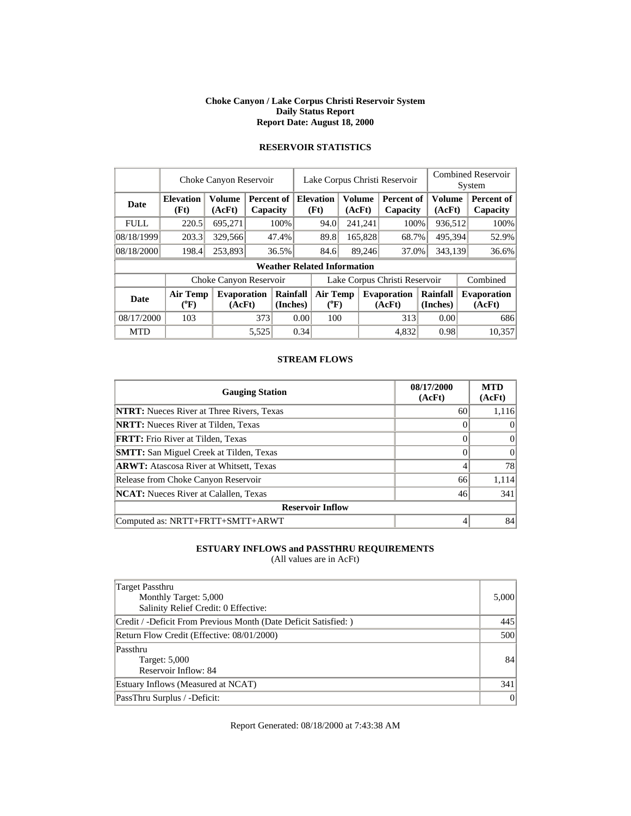#### **Choke Canyon / Lake Corpus Christi Reservoir System Daily Status Report Report Date: August 18, 2000**

|             |                            | Choke Canyon Reservoir       |                        |                      |                          | Lake Corpus Christi Reservoir      |                         |         |                               |  |                         | <b>Combined Reservoir</b><br>System |                               |  |  |
|-------------|----------------------------|------------------------------|------------------------|----------------------|--------------------------|------------------------------------|-------------------------|---------|-------------------------------|--|-------------------------|-------------------------------------|-------------------------------|--|--|
| Date        | <b>Elevation</b><br>(Ft)   | Volume<br>(AcFt)             | Percent of<br>Capacity |                      | <b>Elevation</b><br>(Ft) |                                    | <b>Volume</b><br>(AcFt) |         | Percent of<br>Capacity        |  | <b>Volume</b><br>(AcFt) |                                     | <b>Percent of</b><br>Capacity |  |  |
| <b>FULL</b> | 220.5                      | 695,271                      |                        | 100%                 |                          | 94.0                               |                         | 241,241 | 100%                          |  | 936,512                 |                                     | 100%                          |  |  |
| 08/18/1999  | 203.3                      | 329,566                      |                        | 47.4%                |                          | 89.8                               |                         | 165,828 | 68.7%                         |  | 495,394                 |                                     | 52.9%                         |  |  |
| 08/18/2000  | 198.4                      | 253,893                      |                        | 36.5%                |                          | 84.6                               |                         | 89,246  | 37.0%                         |  | 343,139                 |                                     | 36.6%                         |  |  |
|             |                            |                              |                        |                      |                          | <b>Weather Related Information</b> |                         |         |                               |  |                         |                                     |                               |  |  |
|             |                            | Choke Canyon Reservoir       |                        |                      |                          |                                    |                         |         | Lake Corpus Christi Reservoir |  |                         |                                     | Combined                      |  |  |
| <b>Date</b> | <b>Air Temp</b><br>$(^oF)$ | <b>Evaporation</b><br>(AcFt) |                        | Rainfall<br>(Inches) |                          | <b>Air Temp</b><br>$(^{0}F)$       |                         |         | <b>Evaporation</b><br>(AcFt)  |  | Rainfall<br>(Inches)    |                                     | <b>Evaporation</b><br>(AcFt)  |  |  |
| 08/17/2000  | 103                        |                              | 373                    |                      | 0.00                     | 100                                |                         |         | 313                           |  | 0.00                    |                                     | 686                           |  |  |
| <b>MTD</b>  |                            |                              | 5,525                  |                      | 0.34                     |                                    |                         |         | 4,832                         |  | 0.98                    |                                     | 10,357                        |  |  |

## **RESERVOIR STATISTICS**

### **STREAM FLOWS**

| <b>Gauging Station</b>                           | 08/17/2000<br>(AcFt) | <b>MTD</b><br>(AcFt) |
|--------------------------------------------------|----------------------|----------------------|
| <b>NTRT:</b> Nueces River at Three Rivers, Texas | 60                   | 1,116                |
| <b>NRTT:</b> Nueces River at Tilden, Texas       |                      | 0                    |
| <b>FRTT:</b> Frio River at Tilden, Texas         |                      | $\Omega$             |
| <b>SMTT:</b> San Miguel Creek at Tilden, Texas   |                      | 0                    |
| <b>ARWT:</b> Atascosa River at Whitsett, Texas   |                      | 78                   |
| Release from Choke Canyon Reservoir              | 66                   | 1,114                |
| <b>NCAT:</b> Nueces River at Calallen, Texas     | 46                   | 341                  |
| <b>Reservoir Inflow</b>                          |                      |                      |
| Computed as: NRTT+FRTT+SMTT+ARWT                 |                      | 84                   |

### **ESTUARY INFLOWS and PASSTHRU REQUIREMENTS**

(All values are in AcFt)

| Target Passthru<br>Monthly Target: 5,000<br>Salinity Relief Credit: 0 Effective: | 5,000 |
|----------------------------------------------------------------------------------|-------|
| Credit / -Deficit From Previous Month (Date Deficit Satisfied: )                 | 445   |
| Return Flow Credit (Effective: 08/01/2000)                                       | 500   |
| Passthru<br>Target: 5,000<br>Reservoir Inflow: 84                                | 84    |
| Estuary Inflows (Measured at NCAT)                                               | 341   |
| PassThru Surplus / -Deficit:                                                     | 0     |

Report Generated: 08/18/2000 at 7:43:38 AM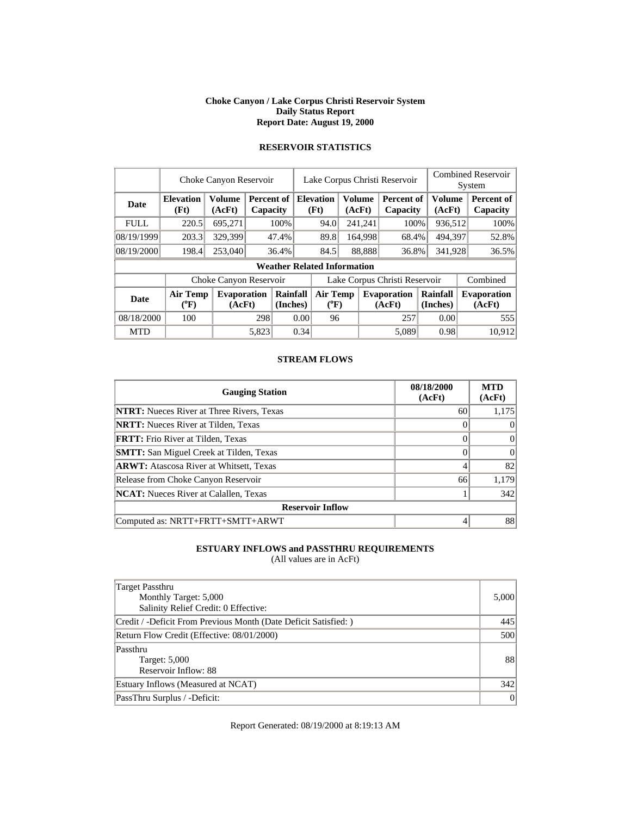#### **Choke Canyon / Lake Corpus Christi Reservoir System Daily Status Report Report Date: August 19, 2000**

|             |                          | Choke Canyon Reservoir       |       |                               | Lake Corpus Christi Reservoir |                                    |  |                         |                               |                      | <b>Combined Reservoir</b><br>System |  |                              |  |
|-------------|--------------------------|------------------------------|-------|-------------------------------|-------------------------------|------------------------------------|--|-------------------------|-------------------------------|----------------------|-------------------------------------|--|------------------------------|--|
| Date        | <b>Elevation</b><br>(Ft) | <b>Volume</b><br>(AcFt)      |       | <b>Percent of</b><br>Capacity |                               | <b>Elevation</b><br>(Ft)           |  | <b>Volume</b><br>(AcFt) | Percent of<br>Capacity        |                      | <b>Volume</b><br>(AcFt)             |  | Percent of<br>Capacity       |  |
| <b>FULL</b> | 220.5                    | 695,271                      |       | 100%                          |                               | 94.0                               |  | 241,241                 | 100%                          |                      | 936,512                             |  | 100%                         |  |
| 08/19/1999  | 203.3                    | 329,399                      |       | 47.4%                         |                               | 89.8                               |  | 164,998                 | 68.4%                         |                      | 494,397                             |  | 52.8%                        |  |
| 08/19/2000  | 198.4                    | 253,040                      |       | 36.4%                         |                               | 84.5                               |  | 88,888                  | 36.8%                         |                      | 341,928                             |  | 36.5%                        |  |
|             |                          |                              |       |                               |                               | <b>Weather Related Information</b> |  |                         |                               |                      |                                     |  |                              |  |
|             |                          | Choke Canyon Reservoir       |       |                               |                               |                                    |  |                         | Lake Corpus Christi Reservoir |                      |                                     |  | Combined                     |  |
| <b>Date</b> | Air Temp<br>$(^{0}F)$    | <b>Evaporation</b><br>(AcFt) |       | Rainfall<br>(Inches)          |                               | Air Temp<br>$(^{0}F)$              |  |                         | <b>Evaporation</b><br>(AcFt)  | Rainfall<br>(Inches) |                                     |  | <b>Evaporation</b><br>(AcFt) |  |
| 08/18/2000  | 100                      |                              | 298   |                               | 0.00                          | 96                                 |  |                         | 257                           |                      | 0.00                                |  | 555                          |  |
| <b>MTD</b>  |                          |                              | 5.823 |                               | 0.34                          |                                    |  |                         | 5.089                         |                      | 0.98                                |  | 10.912                       |  |

## **RESERVOIR STATISTICS**

### **STREAM FLOWS**

| <b>Gauging Station</b>                           | 08/18/2000<br>(AcFt) | <b>MTD</b><br>(AcFt) |
|--------------------------------------------------|----------------------|----------------------|
| <b>NTRT:</b> Nueces River at Three Rivers, Texas | 60                   | 1,175                |
| <b>NRTT:</b> Nueces River at Tilden, Texas       |                      | $\theta$             |
| <b>FRTT:</b> Frio River at Tilden, Texas         |                      | $\Omega$             |
| <b>SMTT:</b> San Miguel Creek at Tilden, Texas   |                      | 0                    |
| <b>ARWT:</b> Atascosa River at Whitsett, Texas   |                      | 82                   |
| Release from Choke Canyon Reservoir              | 66                   | 1,179                |
| <b>NCAT:</b> Nueces River at Calallen, Texas     |                      | 342                  |
| <b>Reservoir Inflow</b>                          |                      |                      |
| Computed as: NRTT+FRTT+SMTT+ARWT                 |                      | 88                   |

### **ESTUARY INFLOWS and PASSTHRU REQUIREMENTS**

(All values are in AcFt)

| Target Passthru<br>Monthly Target: 5,000<br>Salinity Relief Credit: 0 Effective: | 5,000 |
|----------------------------------------------------------------------------------|-------|
| Credit / -Deficit From Previous Month (Date Deficit Satisfied:)                  | 445   |
| Return Flow Credit (Effective: 08/01/2000)                                       | 500   |
| Passthru<br>Target: 5,000<br>Reservoir Inflow: 88                                | 88    |
| Estuary Inflows (Measured at NCAT)                                               | 342   |
| PassThru Surplus / -Deficit:                                                     | 0     |

Report Generated: 08/19/2000 at 8:19:13 AM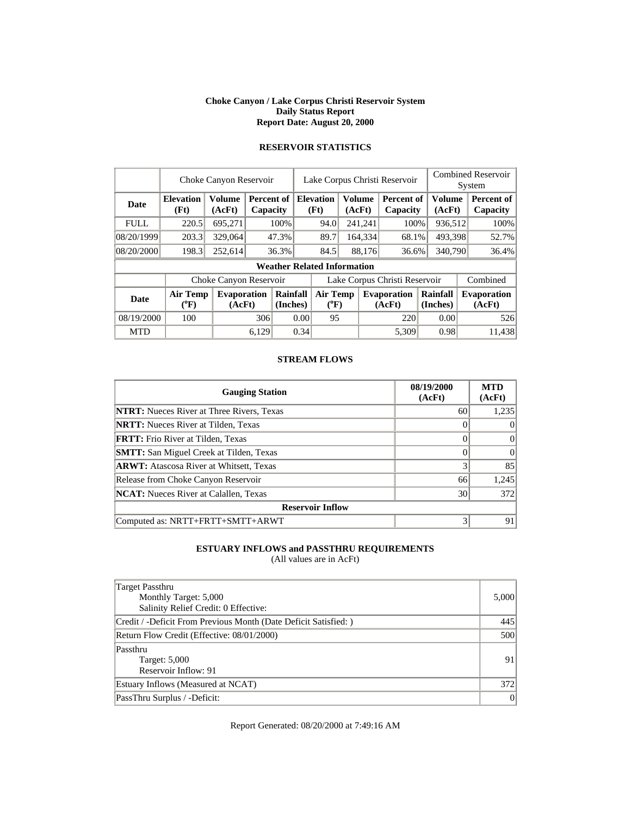#### **Choke Canyon / Lake Corpus Christi Reservoir System Daily Status Report Report Date: August 20, 2000**

|             | Choke Canyon Reservoir   |                              | Lake Corpus Christi Reservoir |                        |                               |                                    | <b>Combined Reservoir</b><br>System |                         |                              |  |                      |  |                               |
|-------------|--------------------------|------------------------------|-------------------------------|------------------------|-------------------------------|------------------------------------|-------------------------------------|-------------------------|------------------------------|--|----------------------|--|-------------------------------|
| <b>Date</b> | <b>Elevation</b><br>(Ft) | <b>Volume</b><br>(AcFt)      |                               | Percent of<br>Capacity |                               | <b>Elevation</b><br>(Ft)           |                                     | <b>Volume</b><br>(AcFt) | Percent of<br>Capacity       |  | Volume<br>(AcFt)     |  | <b>Percent of</b><br>Capacity |
| <b>FULL</b> | 220.5                    | 695,271                      |                               | 100%                   |                               | 94.0                               |                                     | 241,241                 | 100%                         |  | 936,512              |  | 100%                          |
| 08/20/1999  | 203.3                    | 329,064                      |                               | 47.3%                  |                               | 89.7                               |                                     | 164,334                 | 68.1%                        |  | 493,398              |  | 52.7%                         |
| 08/20/2000  | 198.3                    | 252.614                      |                               | 36.3%                  |                               | 84.5                               |                                     | 88,176                  | 36.6%                        |  | 340,790              |  | 36.4%                         |
|             |                          |                              |                               |                        |                               | <b>Weather Related Information</b> |                                     |                         |                              |  |                      |  |                               |
|             |                          | Choke Canyon Reservoir       |                               |                        | Lake Corpus Christi Reservoir |                                    |                                     |                         |                              |  |                      |  | Combined                      |
| <b>Date</b> | <b>Air Temp</b><br>(°F)  | <b>Evaporation</b><br>(AcFt) |                               | Rainfall<br>(Inches)   |                               | <b>Air Temp</b><br>$(^{0}F)$       |                                     |                         | <b>Evaporation</b><br>(AcFt) |  | Rainfall<br>(Inches) |  | <b>Evaporation</b><br>(AcFt)  |
| 08/19/2000  | 100                      |                              | 306                           |                        | 0.00                          | 95                                 |                                     |                         | 220                          |  | 0.00                 |  | 526                           |
| <b>MTD</b>  |                          |                              | 6.129                         |                        | 0.34                          |                                    |                                     |                         | 5.309                        |  | 0.98                 |  | 11.438                        |

## **RESERVOIR STATISTICS**

### **STREAM FLOWS**

| <b>Gauging Station</b>                           | 08/19/2000<br>(AcFt) | <b>MTD</b><br>(AcFt) |
|--------------------------------------------------|----------------------|----------------------|
| <b>NTRT:</b> Nueces River at Three Rivers, Texas | 60                   | 1,235                |
| <b>NRTT:</b> Nueces River at Tilden, Texas       |                      |                      |
| <b>FRTT:</b> Frio River at Tilden, Texas         |                      |                      |
| <b>SMTT:</b> San Miguel Creek at Tilden, Texas   |                      |                      |
| <b>ARWT:</b> Atascosa River at Whitsett, Texas   |                      | 85                   |
| Release from Choke Canyon Reservoir              | 66                   | 1,245                |
| <b>NCAT:</b> Nueces River at Calallen, Texas     | 30                   | 372                  |
| <b>Reservoir Inflow</b>                          |                      |                      |
| Computed as: NRTT+FRTT+SMTT+ARWT                 |                      | 91                   |

### **ESTUARY INFLOWS and PASSTHRU REQUIREMENTS**

(All values are in AcFt)

| Target Passthru<br>Monthly Target: 5,000<br>Salinity Relief Credit: 0 Effective: | 5,000 |
|----------------------------------------------------------------------------------|-------|
| Credit / -Deficit From Previous Month (Date Deficit Satisfied:)                  | 445   |
| Return Flow Credit (Effective: 08/01/2000)                                       | 500   |
| Passthru<br>Target: 5,000<br>Reservoir Inflow: 91                                | 91    |
| Estuary Inflows (Measured at NCAT)                                               | 372   |
| PassThru Surplus / -Deficit:                                                     | 0     |

Report Generated: 08/20/2000 at 7:49:16 AM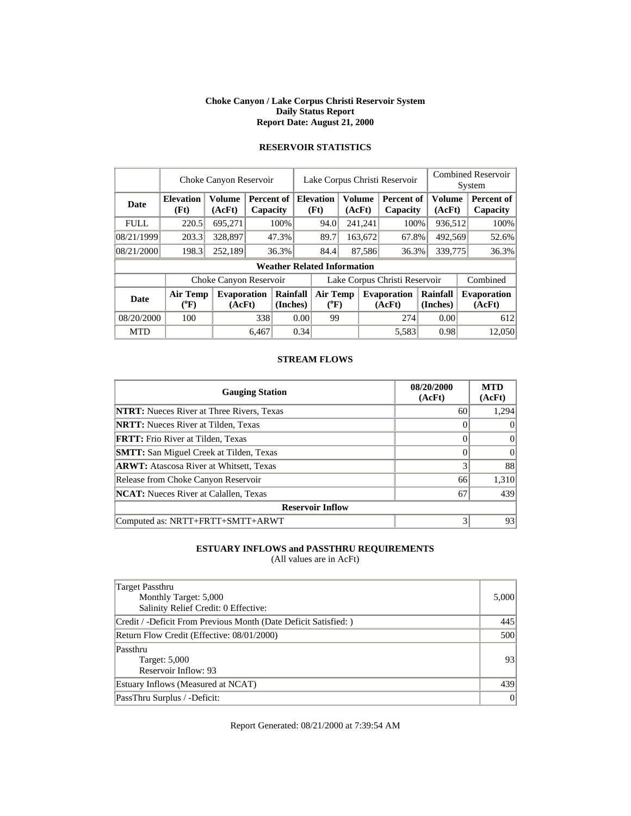#### **Choke Canyon / Lake Corpus Christi Reservoir System Daily Status Report Report Date: August 21, 2000**

|             | Choke Canyon Reservoir       |                              |       |                        |                               | Lake Corpus Christi Reservoir      |                              |                         |                              |                      |                         | <b>Combined Reservoir</b><br>System |  |  |
|-------------|------------------------------|------------------------------|-------|------------------------|-------------------------------|------------------------------------|------------------------------|-------------------------|------------------------------|----------------------|-------------------------|-------------------------------------|--|--|
| Date        | <b>Elevation</b><br>(Ft)     | <b>Volume</b><br>(AcFt)      |       | Percent of<br>Capacity |                               | <b>Elevation</b><br>(Ft)           |                              | <b>Volume</b><br>(AcFt) | Percent of<br>Capacity       |                      | <b>Volume</b><br>(AcFt) | Percent of<br>Capacity              |  |  |
| <b>FULL</b> | 220.5                        | 695,271                      |       | 100%                   |                               | 94.0                               |                              | 241,241                 | 100%                         |                      | 936,512                 | 100%                                |  |  |
| 08/21/1999  | 203.3                        | 328,897                      |       | 47.3%                  |                               | 89.7                               |                              | 163,672                 | 67.8%                        |                      | 492,569                 | 52.6%                               |  |  |
| 08/21/2000  | 198.3                        | 252,189                      |       | 36.3%                  |                               | 84.4                               | 87,586                       |                         | 36.3%                        |                      | 339,775                 | 36.3%                               |  |  |
|             |                              |                              |       |                        |                               | <b>Weather Related Information</b> |                              |                         |                              |                      |                         |                                     |  |  |
|             |                              | Choke Canyon Reservoir       |       |                        | Lake Corpus Christi Reservoir |                                    |                              |                         |                              |                      |                         | Combined                            |  |  |
| <b>Date</b> | <b>Air Temp</b><br>$(^{0}F)$ | <b>Evaporation</b><br>(AcFt) |       | Rainfall<br>(Inches)   |                               |                                    | <b>Air Temp</b><br>$(^{0}F)$ |                         | <b>Evaporation</b><br>(AcFt) | Rainfall<br>(Inches) |                         | <b>Evaporation</b><br>(AcFt)        |  |  |
| 08/20/2000  | 100                          |                              | 338   |                        | 0.00                          | 99                                 |                              |                         | 274                          |                      | 0.00                    | 612                                 |  |  |
| <b>MTD</b>  |                              |                              | 6,467 |                        | 0.34                          |                                    |                              |                         | 5,583                        |                      | 0.98                    | 12.050                              |  |  |

### **RESERVOIR STATISTICS**

### **STREAM FLOWS**

| <b>Gauging Station</b>                           | 08/20/2000<br>(AcFt) | <b>MTD</b><br>(AcFt) |
|--------------------------------------------------|----------------------|----------------------|
| <b>NTRT:</b> Nueces River at Three Rivers, Texas | 60                   | 1,294                |
| <b>NRTT:</b> Nueces River at Tilden, Texas       |                      | $\theta$             |
| <b>FRTT:</b> Frio River at Tilden, Texas         |                      | $\Omega$             |
| <b>SMTT:</b> San Miguel Creek at Tilden, Texas   |                      | 0                    |
| <b>ARWT:</b> Atascosa River at Whitsett, Texas   | 3                    | 88                   |
| Release from Choke Canyon Reservoir              | 66                   | 1,310                |
| <b>NCAT:</b> Nueces River at Calallen, Texas     | 67                   | 439                  |
| <b>Reservoir Inflow</b>                          |                      |                      |
| Computed as: NRTT+FRTT+SMTT+ARWT                 |                      | 93                   |

### **ESTUARY INFLOWS and PASSTHRU REQUIREMENTS**

(All values are in AcFt)

| Target Passthru<br>Monthly Target: 5,000<br>Salinity Relief Credit: 0 Effective: | 5,000 |
|----------------------------------------------------------------------------------|-------|
| Credit / -Deficit From Previous Month (Date Deficit Satisfied:)                  | 445   |
| Return Flow Credit (Effective: 08/01/2000)                                       | 500   |
| Passthru<br>Target: 5,000<br>Reservoir Inflow: 93                                | 93    |
| Estuary Inflows (Measured at NCAT)                                               | 439   |
| PassThru Surplus / -Deficit:                                                     | 0     |

Report Generated: 08/21/2000 at 7:39:54 AM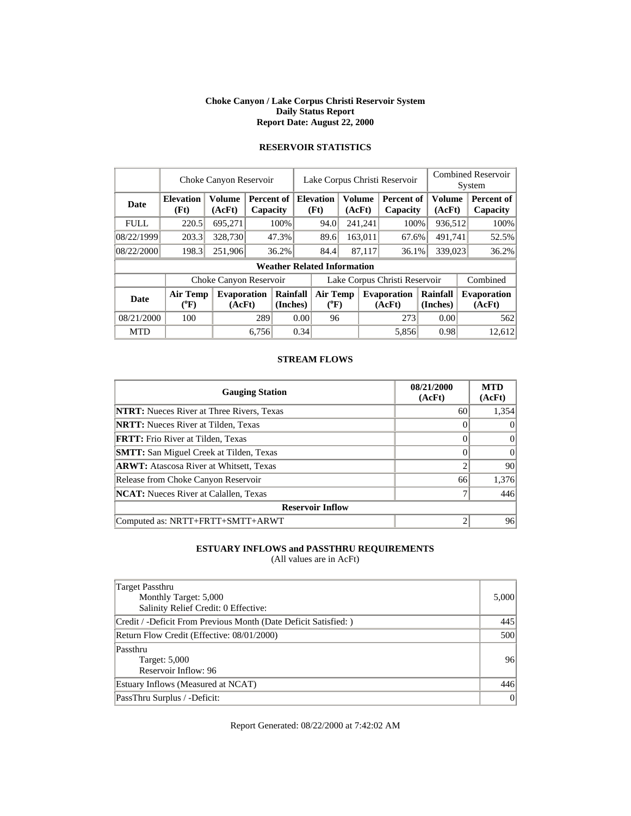#### **Choke Canyon / Lake Corpus Christi Reservoir System Daily Status Report Report Date: August 22, 2000**

|             | Choke Canyon Reservoir       |                              |       |                        |                               | Lake Corpus Christi Reservoir      |  |                              |                        |                      |                         | <b>Combined Reservoir</b><br>System |                              |  |
|-------------|------------------------------|------------------------------|-------|------------------------|-------------------------------|------------------------------------|--|------------------------------|------------------------|----------------------|-------------------------|-------------------------------------|------------------------------|--|
| Date        | <b>Elevation</b><br>(Ft)     | <b>Volume</b><br>(AcFt)      |       | Percent of<br>Capacity |                               | <b>Elevation</b><br>(Ft)           |  | <b>Volume</b><br>(AcFt)      | Percent of<br>Capacity |                      | <b>Volume</b><br>(AcFt) |                                     | Percent of<br>Capacity       |  |
| <b>FULL</b> | 220.5                        | 695,271                      |       | 100%                   |                               | 94.0                               |  | 241,241                      | 100%                   |                      | 936,512                 |                                     | 100%                         |  |
| 08/22/1999  | 203.3                        | 328,730                      |       | 47.3%                  |                               | 89.6                               |  | 163,011                      | 67.6%                  |                      | 491,741                 |                                     | 52.5%                        |  |
| 08/22/2000  | 198.3                        | 251,906                      |       | 36.2%                  |                               | 84.4                               |  | 87,117<br>36.1%              |                        | 339,023              |                         |                                     | 36.2%                        |  |
|             |                              |                              |       |                        |                               | <b>Weather Related Information</b> |  |                              |                        |                      |                         |                                     |                              |  |
|             |                              | Choke Canyon Reservoir       |       |                        | Lake Corpus Christi Reservoir |                                    |  |                              |                        |                      |                         |                                     | Combined                     |  |
| <b>Date</b> | <b>Air Temp</b><br>$(^{0}F)$ | <b>Evaporation</b><br>(AcFt) |       | Rainfall<br>(Inches)   |                               | <b>Air Temp</b><br>$(^{0}F)$       |  | <b>Evaporation</b><br>(AcFt) |                        | Rainfall<br>(Inches) |                         |                                     | <b>Evaporation</b><br>(AcFt) |  |
| 08/21/2000  | 100                          |                              | 289   |                        | 0.00                          | 96                                 |  |                              | 273                    |                      | 0.00                    |                                     | 562                          |  |
| <b>MTD</b>  |                              |                              | 6,756 |                        | 0.34                          |                                    |  |                              | 5,856                  |                      | 0.98                    |                                     | 12.612                       |  |

## **RESERVOIR STATISTICS**

### **STREAM FLOWS**

| <b>Gauging Station</b>                           | 08/21/2000<br>(AcFt) | <b>MTD</b><br>(AcFt) |
|--------------------------------------------------|----------------------|----------------------|
| <b>NTRT:</b> Nueces River at Three Rivers, Texas | 60                   | 1,354                |
| <b>NRTT:</b> Nueces River at Tilden, Texas       |                      | $\theta$             |
| <b>FRTT:</b> Frio River at Tilden, Texas         |                      | $\Omega$             |
| <b>SMTT:</b> San Miguel Creek at Tilden, Texas   |                      | 0                    |
| <b>ARWT:</b> Atascosa River at Whitsett, Texas   |                      | 90                   |
| Release from Choke Canyon Reservoir              | 66                   | 1,376                |
| <b>NCAT:</b> Nueces River at Calallen, Texas     |                      | 446                  |
| <b>Reservoir Inflow</b>                          |                      |                      |
| Computed as: NRTT+FRTT+SMTT+ARWT                 |                      | 96                   |

### **ESTUARY INFLOWS and PASSTHRU REQUIREMENTS**

(All values are in AcFt)

| Target Passthru<br>Monthly Target: 5,000<br>Salinity Relief Credit: 0 Effective: | 5,000 |
|----------------------------------------------------------------------------------|-------|
| Credit / -Deficit From Previous Month (Date Deficit Satisfied:)                  | 445   |
| Return Flow Credit (Effective: 08/01/2000)                                       | 500   |
| Passthru<br>Target: 5,000<br>Reservoir Inflow: 96                                | 96    |
| Estuary Inflows (Measured at NCAT)                                               | 446   |
| PassThru Surplus / -Deficit:                                                     | 0     |

Report Generated: 08/22/2000 at 7:42:02 AM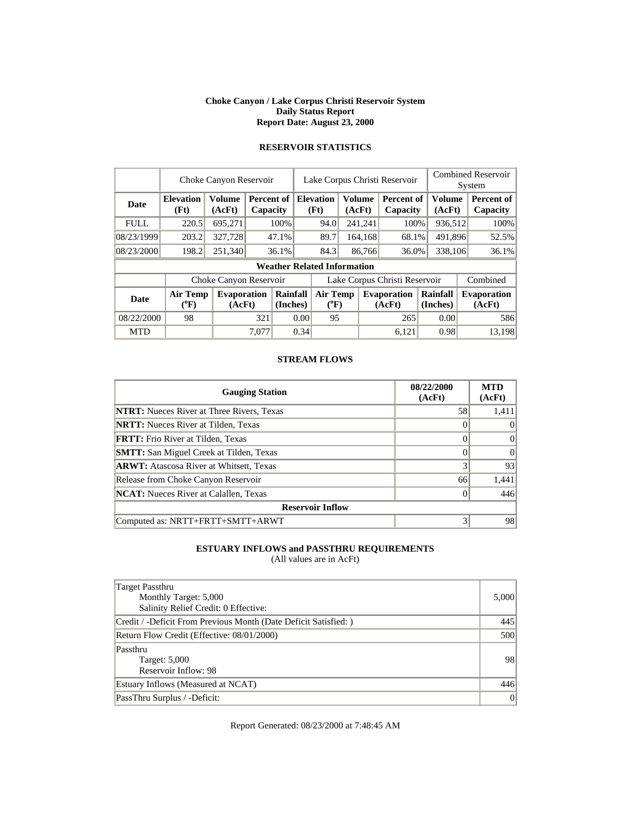#### **Choke Canyon / Lake Corpus Christi Reservoir System Daily Status Report Report Date: August 23, 2000**

|             | Choke Canyon Reservoir       | Lake Corpus Christi Reservoir |       |                               |                               |                                    |        | <b>Combined Reservoir</b><br>System |                               |  |                      |          |                               |
|-------------|------------------------------|-------------------------------|-------|-------------------------------|-------------------------------|------------------------------------|--------|-------------------------------------|-------------------------------|--|----------------------|----------|-------------------------------|
| Date        | <b>Elevation</b><br>(Ft)     | <b>Volume</b><br>(AcFt)       |       | <b>Percent of</b><br>Capacity |                               | <b>Elevation</b><br>(Ft)           |        | <b>Volume</b><br>(AcFt)             | <b>Percent of</b><br>Capacity |  | Volume<br>(AcFt)     |          | <b>Percent of</b><br>Capacity |
| <b>FULL</b> | 220.5                        | 695,271                       |       | 100%                          |                               | 94.0                               |        | 241,241                             | 100%                          |  | 936,512              |          | 100%                          |
| 08/23/1999  | 203.2                        | 327,728                       |       | 47.1%                         |                               | 89.7                               |        | 164,168                             | 68.1%                         |  | 491,896              |          | 52.5%                         |
| 08/23/2000  | 198.2                        | 251,340                       |       | 36.1%                         |                               | 84.3                               | 86,766 |                                     | 36.0%                         |  | 338,106              |          | 36.1%                         |
|             |                              |                               |       |                               |                               | <b>Weather Related Information</b> |        |                                     |                               |  |                      |          |                               |
|             |                              | Choke Canyon Reservoir        |       |                               | Lake Corpus Christi Reservoir |                                    |        |                                     |                               |  |                      | Combined |                               |
| <b>Date</b> | <b>Air Temp</b><br>$(^{0}F)$ | Evaporation<br>(AcFt)         |       | Rainfall<br>(Inches)          |                               | <b>Air Temp</b><br>$(^{0}F)$       |        | <b>Evaporation</b><br>(AcFt)        |                               |  | Rainfall<br>(Inches) |          | <b>Evaporation</b><br>(AcFt)  |
| 08/22/2000  | 98                           |                               | 321   |                               | 0.00                          | 95                                 |        |                                     | 265                           |  | 0.00                 |          | 586                           |
| <b>MTD</b>  |                              |                               | 7,077 |                               | 0.34                          |                                    |        |                                     | 6,121                         |  | 0.98                 |          | 13.198                        |

## **RESERVOIR STATISTICS**

### **STREAM FLOWS**

| <b>Gauging Station</b>                           | 08/22/2000<br>(AcFt) | <b>MTD</b><br>(AcFt) |
|--------------------------------------------------|----------------------|----------------------|
| <b>NTRT:</b> Nueces River at Three Rivers, Texas | 58                   | 1,411                |
| <b>NRTT:</b> Nueces River at Tilden, Texas       |                      | $\Omega$             |
| <b>FRTT:</b> Frio River at Tilden, Texas         |                      | $\Omega$             |
| <b>SMTT:</b> San Miguel Creek at Tilden, Texas   |                      | $\Omega$             |
| <b>ARWT:</b> Atascosa River at Whitsett, Texas   |                      | 93                   |
| Release from Choke Canyon Reservoir              | 66                   | 1,441                |
| <b>NCAT:</b> Nueces River at Calallen, Texas     | $\theta$             | 446                  |
| <b>Reservoir Inflow</b>                          |                      |                      |
| Computed as: NRTT+FRTT+SMTT+ARWT                 |                      | 98                   |

### **ESTUARY INFLOWS and PASSTHRU REQUIREMENTS**

(All values are in AcFt)

| Target Passthru<br>Monthly Target: 5,000<br>Salinity Relief Credit: 0 Effective: | 5,000 |
|----------------------------------------------------------------------------------|-------|
| Credit / -Deficit From Previous Month (Date Deficit Satisfied:)                  | 445   |
| Return Flow Credit (Effective: 08/01/2000)                                       | 500   |
| Passthru<br>Target: 5,000<br>Reservoir Inflow: 98                                | 98    |
| Estuary Inflows (Measured at NCAT)                                               | 446   |
| PassThru Surplus / -Deficit:                                                     | 0     |

Report Generated: 08/23/2000 at 7:48:45 AM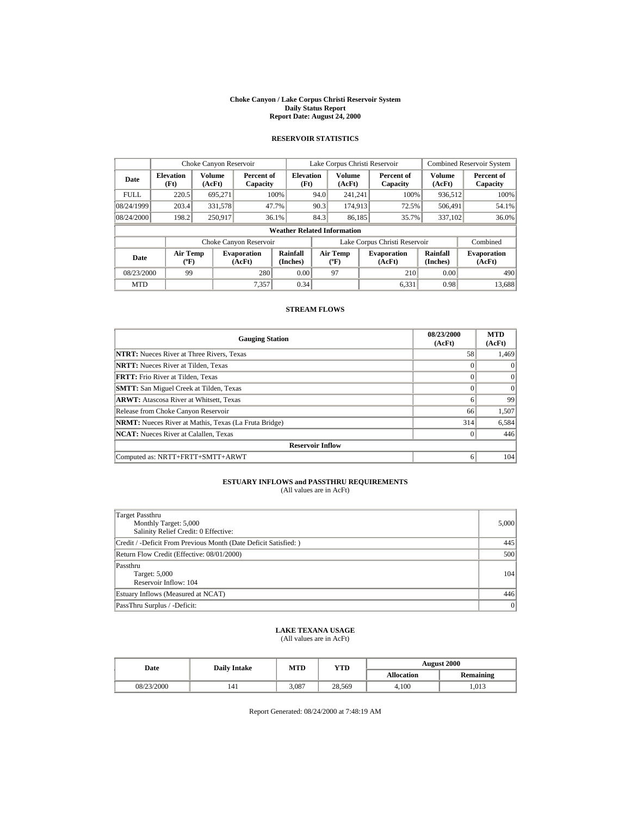#### **Choke Canyon / Lake Corpus Christi Reservoir System Daily Status Report Report Date: August 24, 2000**

#### **RESERVOIR STATISTICS**

|             | Choke Canyon Reservoir                |                         |                              |                          | Lake Corpus Christi Reservoir |                                           |  |                               | <b>Combined Reservoir System</b> |                              |
|-------------|---------------------------------------|-------------------------|------------------------------|--------------------------|-------------------------------|-------------------------------------------|--|-------------------------------|----------------------------------|------------------------------|
| Date        | <b>Elevation</b><br>(Ft)              | <b>Volume</b><br>(AcFt) | Percent of<br>Capacity       | <b>Elevation</b><br>(Ft) |                               | Volume<br>(AcFt)                          |  | Percent of<br>Capacity        | <b>Volume</b><br>(AcFt)          | Percent of<br>Capacity       |
| <b>FULL</b> | 220.5                                 | 695,271                 |                              | 100%                     | 94.0                          | 241,241                                   |  | 100%                          | 936,512                          | 100%                         |
| 08/24/1999  | 203.4                                 | 331,578                 |                              | 47.7%                    | 90.3                          | 174.913                                   |  | 72.5%                         | 506,491                          | 54.1%                        |
| 08/24/2000  | 198.2                                 | 250.917                 |                              | 36.1%                    | 84.3                          | 86,185                                    |  | 35.7%                         | 337,102                          | 36.0%                        |
|             | <b>Weather Related Information</b>    |                         |                              |                          |                               |                                           |  |                               |                                  |                              |
|             |                                       |                         | Choke Canyon Reservoir       |                          |                               |                                           |  | Lake Corpus Christi Reservoir |                                  | Combined                     |
| Date        | <b>Air Temp</b><br>$({}^o\mathrm{F})$ |                         | <b>Evaporation</b><br>(AcFt) | Rainfall<br>(Inches)     |                               | <b>Air Temp</b><br>$({}^{\circ}\text{F})$ |  | <b>Evaporation</b><br>(AcFt)  | <b>Rainfall</b><br>(Inches)      | <b>Evaporation</b><br>(AcFt) |
| 08/23/2000  | 99                                    |                         | 280                          | 0.00                     |                               | 97                                        |  | 210                           | 0.00                             | 490                          |
| <b>MTD</b>  |                                       |                         | 7,357                        | 0.34                     |                               |                                           |  | 6.331                         | 0.98                             | 13,688                       |

#### **STREAM FLOWS**

| <b>Gauging Station</b>                                       | 08/23/2000<br>(AcFt) | <b>MTD</b><br>(AcFt) |  |  |  |
|--------------------------------------------------------------|----------------------|----------------------|--|--|--|
| <b>NTRT:</b> Nueces River at Three Rivers, Texas             | 58                   | 1,469                |  |  |  |
| <b>NRTT:</b> Nueces River at Tilden, Texas                   |                      |                      |  |  |  |
| <b>FRTT:</b> Frio River at Tilden, Texas                     | $\Omega$             | $\Omega$             |  |  |  |
| <b>SMTT:</b> San Miguel Creek at Tilden, Texas               | $\Omega$             | $\Omega$             |  |  |  |
| <b>ARWT:</b> Atascosa River at Whitsett, Texas               | 6                    | 99                   |  |  |  |
| Release from Choke Canyon Reservoir                          | 66                   | 1,507                |  |  |  |
| <b>NRMT:</b> Nueces River at Mathis, Texas (La Fruta Bridge) | 314                  | 6,584                |  |  |  |
| <b>NCAT:</b> Nueces River at Calallen, Texas                 | $\Omega$             | 446                  |  |  |  |
| <b>Reservoir Inflow</b>                                      |                      |                      |  |  |  |
| Computed as: NRTT+FRTT+SMTT+ARWT                             | 6                    | 104                  |  |  |  |

# **ESTUARY INFLOWS and PASSTHRU REQUIREMENTS**<br>(All values are in AcFt)

| Target Passthru<br>Monthly Target: 5,000<br>Salinity Relief Credit: 0 Effective: | 5,000 |
|----------------------------------------------------------------------------------|-------|
| Credit / -Deficit From Previous Month (Date Deficit Satisfied: )                 | 445   |
| Return Flow Credit (Effective: 08/01/2000)                                       | 500   |
| Passthru<br>Target: 5,000<br>Reservoir Inflow: 104                               | 104   |
| Estuary Inflows (Measured at NCAT)                                               | 446   |
| PassThru Surplus / -Deficit:                                                     | 0     |

#### **LAKE TEXANA USAGE** (All values are in AcFt)

| Date       | <b>Daily Intake</b> | <b>MTD</b> | <b>YTD</b> | <b>August 2000</b> |                  |  |
|------------|---------------------|------------|------------|--------------------|------------------|--|
|            |                     |            |            | <b>Allocation</b>  | <b>Remaining</b> |  |
| 08/23/2000 | 141                 | 3.087      | 28.569     | 4.100              | .013             |  |

Report Generated: 08/24/2000 at 7:48:19 AM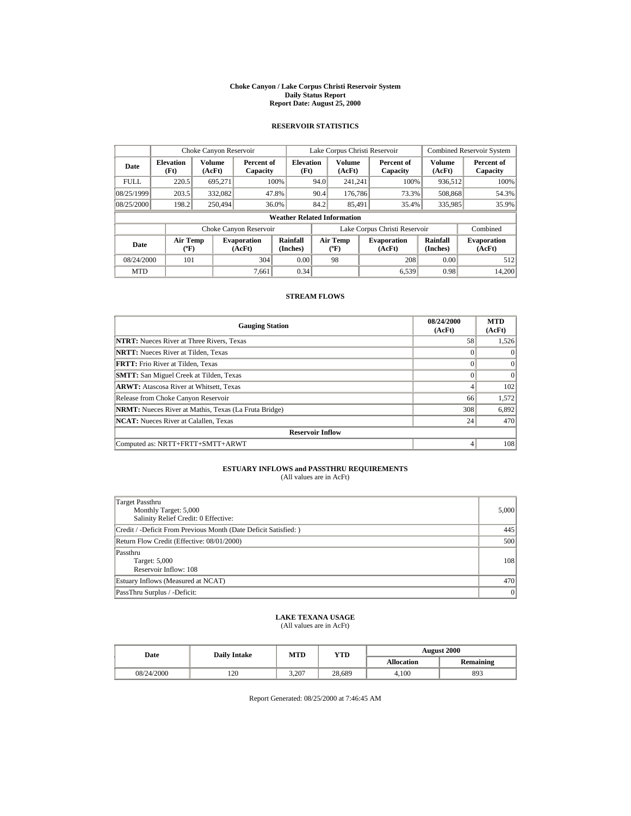#### **Choke Canyon / Lake Corpus Christi Reservoir System Daily Status Report Report Date: August 25, 2000**

### **RESERVOIR STATISTICS**

|             | Choke Canyon Reservoir                |                  |                              |                          | Lake Corpus Christi Reservoir |                                       |  |                               | <b>Combined Reservoir System</b> |                              |
|-------------|---------------------------------------|------------------|------------------------------|--------------------------|-------------------------------|---------------------------------------|--|-------------------------------|----------------------------------|------------------------------|
| Date        | <b>Elevation</b><br>(Ft)              | Volume<br>(AcFt) | Percent of<br>Capacity       | <b>Elevation</b><br>(Ft) |                               | Volume<br>(AcFt)                      |  | Percent of<br>Capacity        | Volume<br>(AcFt)                 | Percent of<br>Capacity       |
| <b>FULL</b> | 220.5                                 | 695,271          |                              | 100%                     | 94.0                          | 241,241                               |  | 100%                          | 936,512                          | 100%                         |
| 08/25/1999  | 203.5                                 | 332,082          |                              | 47.8%                    | 90.4                          | 176,786                               |  | 73.3%                         | 508,868                          | 54.3%                        |
| 08/25/2000  | 198.2                                 | 250,494          |                              | 36.0%                    | 84.2                          | 85.491                                |  | 35.4%                         | 335,985                          | 35.9%                        |
|             | <b>Weather Related Information</b>    |                  |                              |                          |                               |                                       |  |                               |                                  |                              |
|             |                                       |                  | Choke Canyon Reservoir       |                          |                               |                                       |  | Lake Corpus Christi Reservoir |                                  | Combined                     |
| Date        | <b>Air Temp</b><br>$({}^o\mathrm{F})$ |                  | <b>Evaporation</b><br>(AcFt) | Rainfall<br>(Inches)     |                               | <b>Air Temp</b><br>$({}^o\mathrm{F})$ |  | <b>Evaporation</b><br>(AcFt)  | Rainfall<br>(Inches)             | <b>Evaporation</b><br>(AcFt) |
| 08/24/2000  | 101                                   |                  | 304                          | 0.00                     |                               | 98                                    |  | 208                           | 0.00                             | 512                          |
| <b>MTD</b>  |                                       |                  | 7.661                        | 0.34                     |                               |                                       |  | 6,539                         | 0.98                             | 14,200                       |

#### **STREAM FLOWS**

| <b>Gauging Station</b>                                       | 08/24/2000<br>(AcFt) | <b>MTD</b><br>(AcFt) |
|--------------------------------------------------------------|----------------------|----------------------|
| <b>NTRT:</b> Nueces River at Three Rivers, Texas             | 58                   | 1,526                |
| <b>NRTT:</b> Nueces River at Tilden, Texas                   |                      |                      |
| <b>FRTT:</b> Frio River at Tilden, Texas                     |                      |                      |
| <b>SMTT:</b> San Miguel Creek at Tilden, Texas               |                      |                      |
| <b>ARWT:</b> Atascosa River at Whitsett, Texas               |                      | 102                  |
| Release from Choke Canyon Reservoir                          | 66                   | 1.572                |
| <b>NRMT:</b> Nueces River at Mathis, Texas (La Fruta Bridge) | 308                  | 6,892                |
| <b>NCAT:</b> Nueces River at Calallen, Texas                 | 24                   | 470                  |
| <b>Reservoir Inflow</b>                                      |                      |                      |
| Computed as: NRTT+FRTT+SMTT+ARWT                             | 4                    | 108                  |

# **ESTUARY INFLOWS and PASSTHRU REQUIREMENTS**<br>(All values are in AcFt)

| Target Passthru<br>Monthly Target: 5,000<br>Salinity Relief Credit: 0 Effective: | 5,000 |
|----------------------------------------------------------------------------------|-------|
| Credit / -Deficit From Previous Month (Date Deficit Satisfied:)                  | 445   |
| Return Flow Credit (Effective: 08/01/2000)                                       | 500   |
| Passthru<br>Target: 5,000<br>Reservoir Inflow: 108                               | 108   |
| Estuary Inflows (Measured at NCAT)                                               | 470   |
| PassThru Surplus / -Deficit:                                                     | 0     |

# **LAKE TEXANA USAGE** (All values are in AcFt)

| Date       | <b>Daily Intake</b> | MTD   | YTD    | <b>August 2000</b> |           |  |
|------------|---------------------|-------|--------|--------------------|-----------|--|
|            |                     |       |        | <b>Allocation</b>  | Remaining |  |
| 08/24/2000 | 120                 | 3.207 | 28.689 | 4.100              | 893       |  |

Report Generated: 08/25/2000 at 7:46:45 AM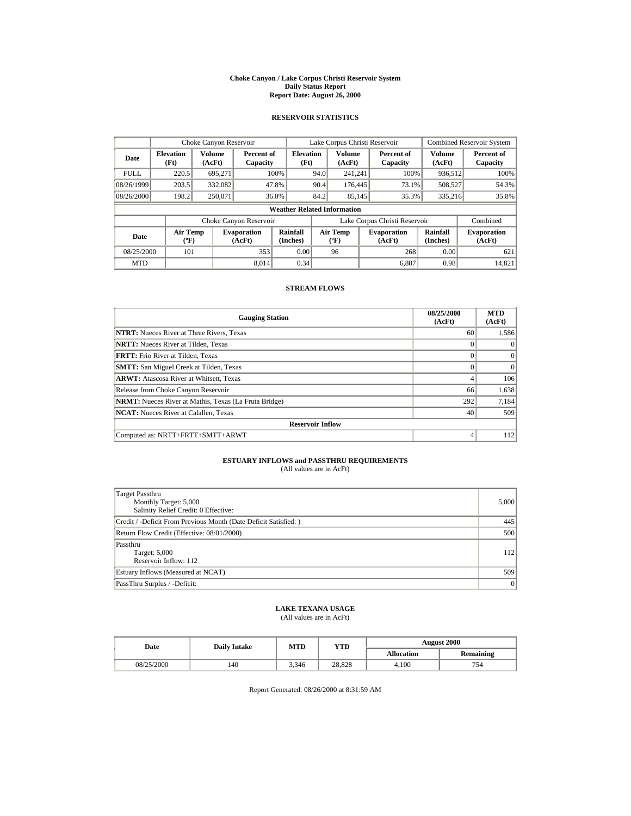#### **Choke Canyon / Lake Corpus Christi Reservoir System Daily Status Report Report Date: August 26, 2000**

#### **RESERVOIR STATISTICS**

|             | Choke Canyon Reservoir                      |                  |                              |                          | Lake Corpus Christi Reservoir |                                   |  |                               | <b>Combined Reservoir System</b> |                              |
|-------------|---------------------------------------------|------------------|------------------------------|--------------------------|-------------------------------|-----------------------------------|--|-------------------------------|----------------------------------|------------------------------|
| Date        | <b>Elevation</b><br>(Ft)                    | Volume<br>(AcFt) | Percent of<br>Capacity       | <b>Elevation</b><br>(Ft) |                               | <b>Volume</b><br>(AcFt)           |  | Percent of<br>Capacity        | <b>Volume</b><br>(AcFt)          | Percent of<br>Capacity       |
| <b>FULL</b> | 220.5                                       | 695,271          |                              | 100%                     | 94.0                          | 241.241                           |  | 100%                          | 936,512                          | 100%                         |
| 08/26/1999  | 203.5                                       | 332,082          |                              | 47.8%                    | 90.4                          | 176,445                           |  | 73.1%                         | 508,527                          | 54.3%                        |
| 08/26/2000  | 198.2                                       | 250,071          |                              | 36.0%                    | 84.2                          | 85.145                            |  | 35.3%                         | 335,216                          | 35.8%                        |
|             | <b>Weather Related Information</b>          |                  |                              |                          |                               |                                   |  |                               |                                  |                              |
|             |                                             |                  | Choke Canyon Reservoir       |                          |                               |                                   |  | Lake Corpus Christi Reservoir |                                  | Combined                     |
| Date        | <b>Air Temp</b><br>$({}^{\circ}\mathrm{F})$ |                  | <b>Evaporation</b><br>(AcFt) | Rainfall<br>(Inches)     |                               | Air Temp<br>$({}^{\circ}{\rm F})$ |  | <b>Evaporation</b><br>(AcFt)  | Rainfall<br>(Inches)             | <b>Evaporation</b><br>(AcFt) |
| 08/25/2000  | 101                                         |                  | 353                          | 0.00                     |                               | 96                                |  | 268                           | 0.00                             | 621                          |
| <b>MTD</b>  |                                             |                  | 8.014                        | 0.34                     |                               |                                   |  | 6.807                         | 0.98                             | 14,821                       |

#### **STREAM FLOWS**

| <b>Gauging Station</b>                                       | 08/25/2000<br>(AcFt) | <b>MTD</b><br>(AcFt) |  |  |  |
|--------------------------------------------------------------|----------------------|----------------------|--|--|--|
| <b>NTRT:</b> Nueces River at Three Rivers, Texas             | 60                   | 1,586                |  |  |  |
| <b>NRTT:</b> Nueces River at Tilden, Texas                   |                      | $\theta$             |  |  |  |
| <b>FRTT:</b> Frio River at Tilden, Texas                     |                      | $\mathbf{0}$         |  |  |  |
| <b>SMTT:</b> San Miguel Creek at Tilden, Texas               |                      | $\Omega$             |  |  |  |
| <b>ARWT:</b> Atascosa River at Whitsett, Texas               |                      | 106                  |  |  |  |
| Release from Choke Canyon Reservoir                          | 66                   | 1,638                |  |  |  |
| <b>NRMT:</b> Nueces River at Mathis, Texas (La Fruta Bridge) | 292                  | 7,184                |  |  |  |
| <b>NCAT:</b> Nueces River at Calallen, Texas                 | 40                   | 509                  |  |  |  |
| <b>Reservoir Inflow</b>                                      |                      |                      |  |  |  |
| Computed as: NRTT+FRTT+SMTT+ARWT                             | 4                    | 112                  |  |  |  |

# **ESTUARY INFLOWS and PASSTHRU REQUIREMENTS**<br>(All values are in AcFt)

| Target Passthru<br>Monthly Target: 5,000<br>Salinity Relief Credit: 0 Effective: | 5,000 |
|----------------------------------------------------------------------------------|-------|
| Credit / -Deficit From Previous Month (Date Deficit Satisfied:)                  | 445   |
| Return Flow Credit (Effective: 08/01/2000)                                       | 500   |
| Passthru<br>Target: 5,000<br>Reservoir Inflow: 112                               | 112   |
| Estuary Inflows (Measured at NCAT)                                               | 509   |
| PassThru Surplus / -Deficit:                                                     | 0     |

### **LAKE TEXANA USAGE**

(All values are in AcFt)

| Date       | <b>Daily Intake</b> | MTD   | YTD    | <b>August 2000</b> |                  |  |
|------------|---------------------|-------|--------|--------------------|------------------|--|
|            |                     |       |        | <b>Allocation</b>  | <b>Remaining</b> |  |
| 08/25/2000 | 140                 | 3.346 | 28.828 | 4.100              | 754              |  |

Report Generated: 08/26/2000 at 8:31:59 AM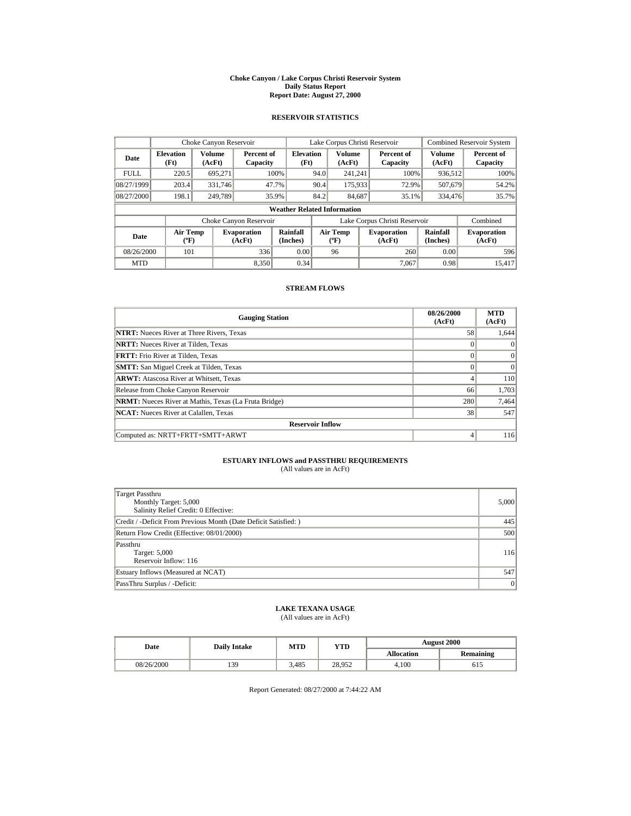#### **Choke Canyon / Lake Corpus Christi Reservoir System Daily Status Report Report Date: August 27, 2000**

#### **RESERVOIR STATISTICS**

|             | Choke Canyon Reservoir                      |                  |                              |                                    | Lake Corpus Christi Reservoir |                                             |  |                               | <b>Combined Reservoir System</b> |                              |
|-------------|---------------------------------------------|------------------|------------------------------|------------------------------------|-------------------------------|---------------------------------------------|--|-------------------------------|----------------------------------|------------------------------|
| Date        | <b>Elevation</b><br>(Ft)                    | Volume<br>(AcFt) | Percent of<br>Capacity       | <b>Elevation</b><br>(Ft)           |                               | Volume<br>(AcFt)                            |  | Percent of<br>Capacity        | Volume<br>(AcFt)                 | Percent of<br>Capacity       |
| <b>FULL</b> | 220.5                                       | 695.271          |                              | 100%                               | 94.0                          | 241.241                                     |  | 100%                          | 936,512                          | 100%                         |
| 08/27/1999  | 203.4                                       | 331,746          |                              | 47.7%                              | 90.4                          | 175,933                                     |  | 72.9%                         | 507,679                          | 54.2%                        |
| 08/27/2000  | 198.1                                       | 249.789          |                              | 35.9%                              | 84.2                          | 84.687                                      |  | 35.1%                         | 334,476                          | 35.7%                        |
|             |                                             |                  |                              | <b>Weather Related Information</b> |                               |                                             |  |                               |                                  |                              |
|             |                                             |                  | Choke Canyon Reservoir       |                                    |                               |                                             |  | Lake Corpus Christi Reservoir |                                  | Combined                     |
| Date        | <b>Air Temp</b><br>$({}^{\circ}\mathrm{F})$ |                  | <b>Evaporation</b><br>(AcFt) | Rainfall<br>(Inches)               |                               | <b>Air Temp</b><br>$({}^{\circ}\mathbf{F})$ |  | <b>Evaporation</b><br>(AcFt)  | Rainfall<br>(Inches)             | <b>Evaporation</b><br>(AcFt) |
| 08/26/2000  | 101                                         |                  | 336                          | 0.00                               |                               | 96                                          |  | 260                           | 0.00                             | 596                          |
| <b>MTD</b>  |                                             |                  | 8.350                        | 0.34                               |                               |                                             |  | 7.067                         | 0.98                             | 15,417                       |

#### **STREAM FLOWS**

| <b>Gauging Station</b>                                       | 08/26/2000<br>(AcFt) | <b>MTD</b><br>(AcFt) |  |  |  |  |
|--------------------------------------------------------------|----------------------|----------------------|--|--|--|--|
| <b>NTRT:</b> Nueces River at Three Rivers, Texas             | 58                   | 1,644                |  |  |  |  |
| <b>NRTT:</b> Nueces River at Tilden, Texas                   | $\Omega$             |                      |  |  |  |  |
| <b>FRTT:</b> Frio River at Tilden, Texas                     | $\Omega$             | $\mathbf{0}$         |  |  |  |  |
| <b>SMTT:</b> San Miguel Creek at Tilden, Texas               |                      | $\Omega$             |  |  |  |  |
| <b>ARWT:</b> Atascosa River at Whitsett, Texas               | 4                    | 110                  |  |  |  |  |
| Release from Choke Canyon Reservoir                          | 66                   | 1,703                |  |  |  |  |
| <b>NRMT:</b> Nueces River at Mathis, Texas (La Fruta Bridge) | 280                  | 7,464                |  |  |  |  |
| <b>NCAT:</b> Nueces River at Calallen, Texas                 | 38                   | 547                  |  |  |  |  |
| <b>Reservoir Inflow</b>                                      |                      |                      |  |  |  |  |
| Computed as: NRTT+FRTT+SMTT+ARWT                             | 4                    | 116                  |  |  |  |  |

# **ESTUARY INFLOWS and PASSTHRU REQUIREMENTS**<br>(All values are in AcFt)

| Target Passthru<br>Monthly Target: 5,000<br>Salinity Relief Credit: 0 Effective: | 5,000 |  |  |
|----------------------------------------------------------------------------------|-------|--|--|
| Credit / -Deficit From Previous Month (Date Deficit Satisfied:)                  | 445   |  |  |
| Return Flow Credit (Effective: 08/01/2000)                                       |       |  |  |
| Passthru<br>Target: 5,000<br>Reservoir Inflow: 116                               | 116   |  |  |
| Estuary Inflows (Measured at NCAT)                                               | 547   |  |  |
| PassThru Surplus / -Deficit:                                                     | 0     |  |  |

### **LAKE TEXANA USAGE**

(All values are in AcFt)

| Date       | <b>Daily Intake</b> | MTD   | YTD    | <b>August 2000</b> |                  |  |
|------------|---------------------|-------|--------|--------------------|------------------|--|
|            |                     |       |        | <b>Allocation</b>  | <b>Remaining</b> |  |
| 08/26/2000 | 139                 | 3.485 | 28.952 | 4.100              | 615              |  |

Report Generated: 08/27/2000 at 7:44:22 AM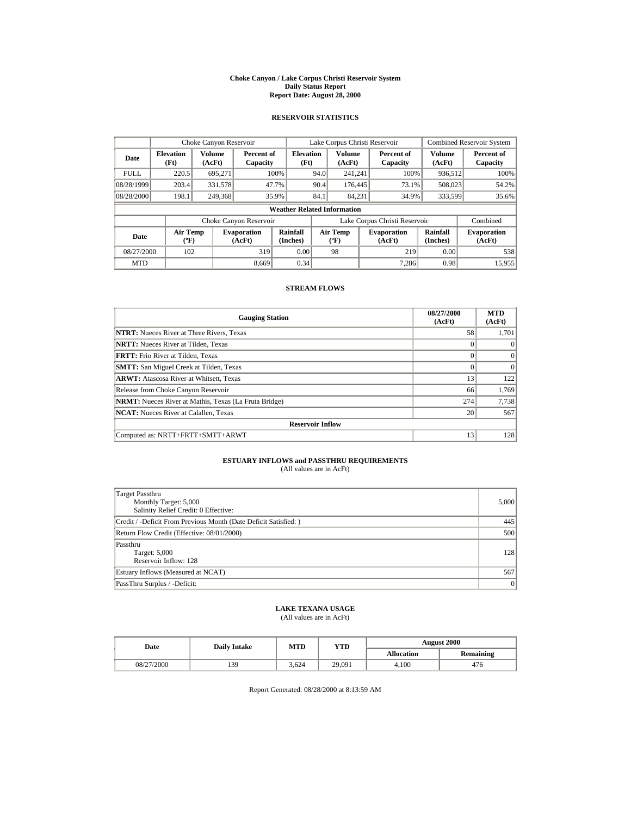#### **Choke Canyon / Lake Corpus Christi Reservoir System Daily Status Report Report Date: August 28, 2000**

#### **RESERVOIR STATISTICS**

|             | Choke Canyon Reservoir                |                  |                              |                                    | Lake Corpus Christi Reservoir |                                   |  |                               |                         | <b>Combined Reservoir System</b> |  |
|-------------|---------------------------------------|------------------|------------------------------|------------------------------------|-------------------------------|-----------------------------------|--|-------------------------------|-------------------------|----------------------------------|--|
| Date        | <b>Elevation</b><br>(Ft)              | Volume<br>(AcFt) | Percent of<br>Capacity       | <b>Elevation</b><br>(Ft)           |                               | <b>Volume</b><br>(AcFt)           |  | Percent of<br>Capacity        | <b>Volume</b><br>(AcFt) | Percent of<br>Capacity           |  |
| <b>FULL</b> | 220.5                                 | 695.271          |                              | 100%                               | 94.0                          | 241.241                           |  | 100%                          | 936,512                 | 100%                             |  |
| 08/28/1999  | 203.4                                 | 331,578          |                              | 47.7%                              | 90.4                          | 176,445                           |  | 73.1%                         | 508,023                 | 54.2%                            |  |
| 08/28/2000  | 198.1                                 | 249,368          |                              | 35.9%                              | 84.1                          | 84.231                            |  | 34.9%                         | 333,599                 | 35.6%                            |  |
|             |                                       |                  |                              | <b>Weather Related Information</b> |                               |                                   |  |                               |                         |                                  |  |
|             |                                       |                  | Choke Canyon Reservoir       |                                    |                               |                                   |  | Lake Corpus Christi Reservoir |                         | Combined                         |  |
| Date        | <b>Air Temp</b><br>$({}^o\mathrm{F})$ |                  | <b>Evaporation</b><br>(AcFt) | Rainfall<br>(Inches)               |                               | Air Temp<br>$({}^{\circ}{\rm F})$ |  | <b>Evaporation</b><br>(AcFt)  | Rainfall<br>(Inches)    | <b>Evaporation</b><br>(AcFt)     |  |
| 08/27/2000  | 102                                   |                  | 319                          | 0.00                               |                               | 98                                |  | 219                           | 0.00                    | 538                              |  |
| <b>MTD</b>  |                                       |                  | 8.669                        | 0.34                               |                               |                                   |  | 7.286                         | 0.98                    | 15,955                           |  |

#### **STREAM FLOWS**

| <b>Gauging Station</b>                                       | 08/27/2000<br>(AcFt) | <b>MTD</b><br>(AcFt) |  |  |  |  |
|--------------------------------------------------------------|----------------------|----------------------|--|--|--|--|
| <b>NTRT:</b> Nueces River at Three Rivers, Texas             | 58                   | 1,701                |  |  |  |  |
| <b>NRTT:</b> Nueces River at Tilden, Texas                   |                      |                      |  |  |  |  |
| <b>FRTT:</b> Frio River at Tilden, Texas                     |                      | $\Omega$             |  |  |  |  |
| <b>SMTT:</b> San Miguel Creek at Tilden, Texas               |                      | $\Omega$             |  |  |  |  |
| <b>ARWT:</b> Atascosa River at Whitsett, Texas               | 13                   | 122                  |  |  |  |  |
| Release from Choke Canyon Reservoir                          | 66                   | 1.769                |  |  |  |  |
| <b>NRMT:</b> Nueces River at Mathis, Texas (La Fruta Bridge) | 274                  | 7,738                |  |  |  |  |
| <b>NCAT:</b> Nueces River at Calallen, Texas                 | 20                   | 567                  |  |  |  |  |
| <b>Reservoir Inflow</b>                                      |                      |                      |  |  |  |  |
| Computed as: NRTT+FRTT+SMTT+ARWT                             | 13                   | 128                  |  |  |  |  |

# **ESTUARY INFLOWS and PASSTHRU REQUIREMENTS**<br>(All values are in AcFt)

| Target Passthru<br>Monthly Target: 5,000<br>Salinity Relief Credit: 0 Effective: | 5,000 |  |  |
|----------------------------------------------------------------------------------|-------|--|--|
| Credit / -Deficit From Previous Month (Date Deficit Satisfied:)                  | 445   |  |  |
| Return Flow Credit (Effective: 08/01/2000)                                       |       |  |  |
| Passthru<br>Target: 5,000<br>Reservoir Inflow: 128                               | 128   |  |  |
| Estuary Inflows (Measured at NCAT)                                               | 567   |  |  |
| PassThru Surplus / -Deficit:                                                     | 0     |  |  |

### **LAKE TEXANA USAGE**

(All values are in AcFt)

| Date       | <b>Daily Intake</b> | MTD   | YTD    | <b>August 2000</b> |                  |  |
|------------|---------------------|-------|--------|--------------------|------------------|--|
|            |                     |       |        | <b>Allocation</b>  | <b>Remaining</b> |  |
| 08/27/2000 | 139                 | 3.624 | 29,091 | 4.100              | 476              |  |

Report Generated: 08/28/2000 at 8:13:59 AM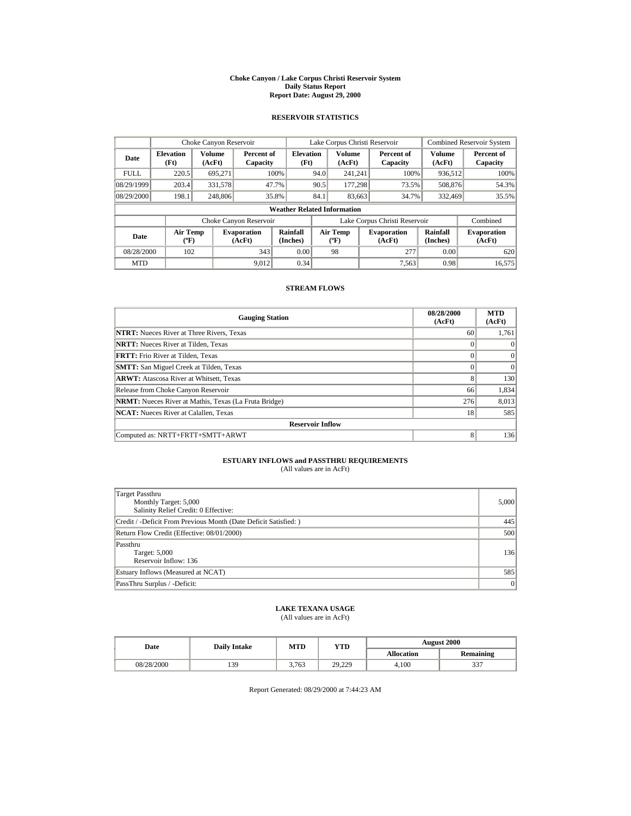#### **Choke Canyon / Lake Corpus Christi Reservoir System Daily Status Report Report Date: August 29, 2000**

#### **RESERVOIR STATISTICS**

|             | Choke Canyon Reservoir                      |                  |                              |                                    | Lake Corpus Christi Reservoir |                                                                             |  |                               | Combined Reservoir System |                              |  |
|-------------|---------------------------------------------|------------------|------------------------------|------------------------------------|-------------------------------|-----------------------------------------------------------------------------|--|-------------------------------|---------------------------|------------------------------|--|
| Date        | <b>Elevation</b><br>(Ft)                    | Volume<br>(AcFt) | Percent of<br>Capacity       | <b>Elevation</b><br>(Ft)           |                               | Volume<br>(AcFt)                                                            |  | Percent of<br>Capacity        | Volume<br>(AcFt)          | Percent of<br>Capacity       |  |
| <b>FULL</b> | 220.5                                       | 695.271          |                              | 100%                               | 94.0                          | 241.241                                                                     |  | 100%                          | 936,512                   | 100%                         |  |
| 08/29/1999  | 203.4                                       | 331,578          |                              | 47.7%                              | 90.5                          | 177.298                                                                     |  | 73.5%                         | 508,876                   | 54.3%                        |  |
| 08/29/2000  | 198.1                                       | 248,806          |                              | 35.8%                              | 84.1                          | 83.663                                                                      |  | 34.7%<br>332,469              |                           | 35.5%                        |  |
|             |                                             |                  |                              | <b>Weather Related Information</b> |                               |                                                                             |  |                               |                           |                              |  |
|             |                                             |                  | Choke Canyon Reservoir       |                                    |                               |                                                                             |  | Lake Corpus Christi Reservoir |                           | Combined                     |  |
| Date        | <b>Air Temp</b><br>$({}^{\circ}\mathrm{F})$ |                  | <b>Evaporation</b><br>(AcFt) | Rainfall<br>(Inches)               |                               | <b>Air Temp</b><br><b>Evaporation</b><br>$({}^{\circ}\mathbf{F})$<br>(AcFt) |  |                               | Rainfall<br>(Inches)      | <b>Evaporation</b><br>(AcFt) |  |
| 08/28/2000  | 102                                         |                  | 343                          | 0.00                               |                               | 98                                                                          |  | 277                           | 0.00                      | 620                          |  |
| <b>MTD</b>  |                                             |                  | 9.012                        | 0.34                               |                               |                                                                             |  | 7,563                         | 0.98                      | 16,575                       |  |

#### **STREAM FLOWS**

| <b>Gauging Station</b>                                       | 08/28/2000<br>(AcFt) | <b>MTD</b><br>(AcFt) |  |  |  |  |
|--------------------------------------------------------------|----------------------|----------------------|--|--|--|--|
| <b>NTRT:</b> Nueces River at Three Rivers, Texas             | 60                   | 1,761                |  |  |  |  |
| <b>NRTT:</b> Nueces River at Tilden, Texas                   | $\Omega$             |                      |  |  |  |  |
| <b>FRTT:</b> Frio River at Tilden, Texas                     | $\Omega$             | $\mathbf{0}$         |  |  |  |  |
| <b>SMTT:</b> San Miguel Creek at Tilden, Texas               |                      | $\Omega$             |  |  |  |  |
| <b>ARWT:</b> Atascosa River at Whitsett, Texas               | 8                    | 130                  |  |  |  |  |
| Release from Choke Canyon Reservoir                          | 66                   | 1,834                |  |  |  |  |
| <b>NRMT:</b> Nueces River at Mathis, Texas (La Fruta Bridge) | 276                  | 8,013                |  |  |  |  |
| <b>NCAT:</b> Nueces River at Calallen, Texas                 | 18                   | 585                  |  |  |  |  |
| <b>Reservoir Inflow</b>                                      |                      |                      |  |  |  |  |
| Computed as: NRTT+FRTT+SMTT+ARWT                             | 8                    | 1361                 |  |  |  |  |

#### **ESTUARY INFLOWS and PASSTHRU REQUIREMENTS** (All values are in AcFt)

|  | (All values are in AcFt) |  |  |  |  |
|--|--------------------------|--|--|--|--|
|--|--------------------------|--|--|--|--|

| Target Passthru<br>Monthly Target: 5,000<br>Salinity Relief Credit: 0 Effective: | 5,000   |  |  |
|----------------------------------------------------------------------------------|---------|--|--|
| Credit / -Deficit From Previous Month (Date Deficit Satisfied: )                 | 445     |  |  |
| Return Flow Credit (Effective: 08/01/2000)                                       |         |  |  |
| Passthru<br>Target: 5,000<br>Reservoir Inflow: 136                               | 136     |  |  |
| Estuary Inflows (Measured at NCAT)                                               | 585     |  |  |
| PassThru Surplus / -Deficit:                                                     | $\vert$ |  |  |

### **LAKE TEXANA USAGE**

(All values are in AcFt)

| Date       | YTD<br>MTD<br><b>Daily Intake</b> |       | <b>August 2000</b>   |                   |                  |
|------------|-----------------------------------|-------|----------------------|-------------------|------------------|
|            |                                   |       |                      | <b>Allocation</b> | <b>Remaining</b> |
| 08/28/2000 | 139                               | 3.763 | 20 220<br>ز سامبار ک | 4.100             | 227<br>JJ.       |

Report Generated: 08/29/2000 at 7:44:23 AM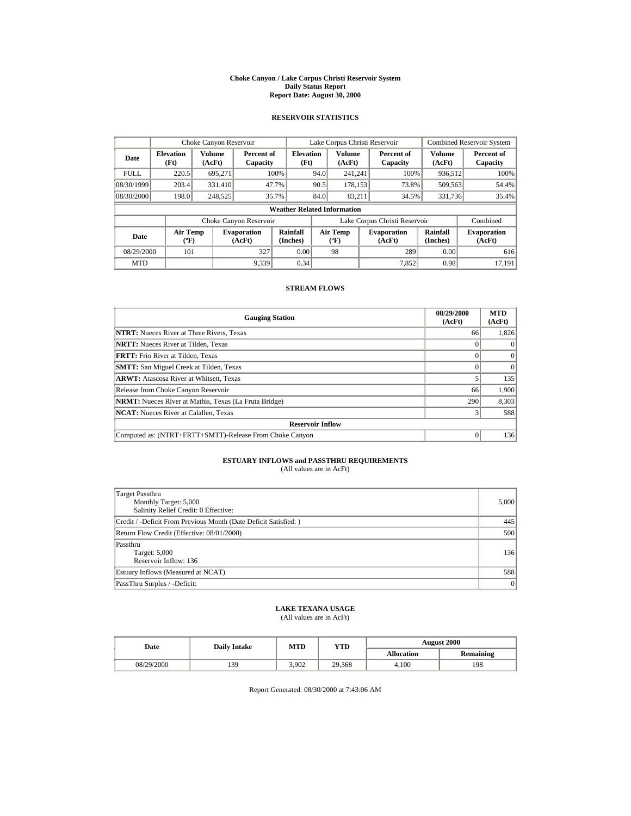#### **Choke Canyon / Lake Corpus Christi Reservoir System Daily Status Report Report Date: August 30, 2000**

#### **RESERVOIR STATISTICS**

|             | Choke Canyon Reservoir                |                  |                              |                          | Lake Corpus Christi Reservoir |                                   |  |                               | <b>Combined Reservoir System</b> |                              |
|-------------|---------------------------------------|------------------|------------------------------|--------------------------|-------------------------------|-----------------------------------|--|-------------------------------|----------------------------------|------------------------------|
| Date        | <b>Elevation</b><br>(Ft)              | Volume<br>(AcFt) | Percent of<br>Capacity       | <b>Elevation</b><br>(Ft) |                               | <b>Volume</b><br>(AcFt)           |  | Percent of<br>Capacity        | <b>Volume</b><br>(AcFt)          | Percent of<br>Capacity       |
| <b>FULL</b> | 220.5                                 | 695.271          |                              | 100%                     | 94.0                          | 241.241                           |  | 100%                          | 936,512                          | 100%                         |
| 08/30/1999  | 203.4                                 | 331.410          |                              | 47.7%                    | 90.5                          | 178.153                           |  | 73.8%                         | 509,563                          | 54.4%                        |
| 08/30/2000  | 198.0                                 | 248,525          |                              | 35.7%                    | 84.0                          | 83.211                            |  | 34.5%                         | 331,736                          | 35.4%                        |
|             | <b>Weather Related Information</b>    |                  |                              |                          |                               |                                   |  |                               |                                  |                              |
|             |                                       |                  | Choke Canyon Reservoir       |                          |                               |                                   |  | Lake Corpus Christi Reservoir |                                  | Combined                     |
| Date        | <b>Air Temp</b><br>$({}^o\mathrm{F})$ |                  | <b>Evaporation</b><br>(AcFt) | Rainfall<br>(Inches)     |                               | Air Temp<br>$({}^{\circ}{\rm F})$ |  | <b>Evaporation</b><br>(AcFt)  | Rainfall<br>(Inches)             | <b>Evaporation</b><br>(AcFt) |
| 08/29/2000  | 101                                   |                  | 327                          | 0.00                     |                               | 98                                |  | 289                           | 0.00                             | 616                          |
| <b>MTD</b>  |                                       |                  | 9,339                        | 0.34                     |                               |                                   |  | 7.852                         | 0.98                             | 17.191                       |

#### **STREAM FLOWS**

| <b>Gauging Station</b>                                       | 08/29/2000<br>(AcFt) | <b>MTD</b><br>(AcFt) |  |  |  |
|--------------------------------------------------------------|----------------------|----------------------|--|--|--|
| <b>NTRT:</b> Nueces River at Three Rivers, Texas             | 66                   | 1,826                |  |  |  |
| <b>NRTT:</b> Nueces River at Tilden, Texas                   |                      | $\Omega$             |  |  |  |
| <b>FRTT:</b> Frio River at Tilden, Texas                     |                      | $\Omega$             |  |  |  |
| <b>SMTT:</b> San Miguel Creek at Tilden, Texas               |                      | $\Omega$             |  |  |  |
| <b>ARWT:</b> Atascosa River at Whitsett, Texas               |                      | 135                  |  |  |  |
| Release from Choke Canyon Reservoir                          | 66                   | 1,900                |  |  |  |
| <b>NRMT:</b> Nueces River at Mathis, Texas (La Fruta Bridge) | 290                  | 8,303                |  |  |  |
| <b>NCAT:</b> Nueces River at Calallen, Texas                 |                      | 588                  |  |  |  |
| <b>Reservoir Inflow</b>                                      |                      |                      |  |  |  |
| Computed as: (NTRT+FRTT+SMTT)-Release From Choke Canyon      |                      | 136                  |  |  |  |

# **ESTUARY INFLOWS and PASSTHRU REQUIREMENTS**<br>(All values are in AcFt)

| Target Passthru<br>Monthly Target: 5,000<br>Salinity Relief Credit: 0 Effective: | 5,000 |
|----------------------------------------------------------------------------------|-------|
| Credit / -Deficit From Previous Month (Date Deficit Satisfied: )                 | 445   |
| Return Flow Credit (Effective: 08/01/2000)                                       | 500   |
| Passthru<br>Target: 5,000<br>Reservoir Inflow: 136                               | 136   |
| Estuary Inflows (Measured at NCAT)                                               | 588   |
| PassThru Surplus / -Deficit:                                                     | 0     |

### **LAKE TEXANA USAGE**

(All values are in AcFt)

| Date       | <b>Daily Intake</b> | MTD   | YTD    | <b>August 2000</b> |           |  |
|------------|---------------------|-------|--------|--------------------|-----------|--|
|            |                     |       |        | <b>Allocation</b>  | Remaining |  |
| 08/29/2000 | 139                 | 3.902 | 29,368 | 4.100              | 198       |  |

Report Generated: 08/30/2000 at 7:43:06 AM